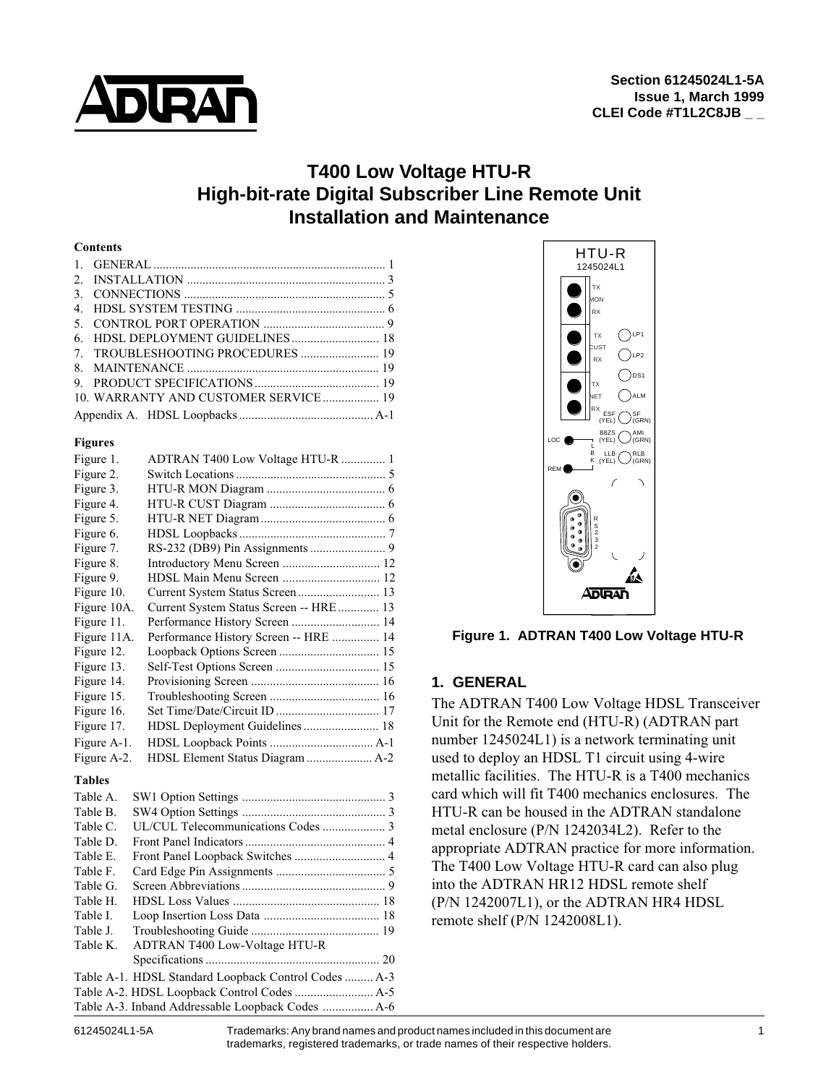

# **T400 Low Voltage HTU-R High-bit-rate Digital Subscriber Line Remote Unit Installation and Maintenance**

#### **Contents**

| 10. WARRANTY AND CUSTOMER SERVICE 19 |  |
|--------------------------------------|--|
|                                      |  |

#### **Figures**

| Figure 1.   | ADTRAN T400 Low Voltage HTU-R  1        |  |
|-------------|-----------------------------------------|--|
| Figure 2.   |                                         |  |
| Figure 3.   |                                         |  |
| Figure 4.   |                                         |  |
| Figure 5.   |                                         |  |
| Figure 6.   |                                         |  |
| Figure 7.   |                                         |  |
| Figure 8.   | Introductory Menu Screen  12            |  |
| Figure 9.   |                                         |  |
| Figure 10.  | Current System Status Screen 13         |  |
| Figure 10A. | Current System Status Screen -- HRE  13 |  |
| Figure 11.  | Performance History Screen  14          |  |
| Figure 11A. | Performance History Screen -- HRE  14   |  |
| Figure 12.  |                                         |  |
| Figure 13.  |                                         |  |
| Figure 14.  |                                         |  |
| Figure 15.  |                                         |  |
| Figure 16.  |                                         |  |
| Figure 17.  |                                         |  |
| Figure A-1. |                                         |  |
| Figure A-2. | HDSL Element Status Diagram  A-2        |  |

#### **Tables**

| Table A. |                                                      |  |
|----------|------------------------------------------------------|--|
| Table B. |                                                      |  |
| Table C. |                                                      |  |
| Table D. |                                                      |  |
| Table E. |                                                      |  |
| Table F. |                                                      |  |
| Table G. |                                                      |  |
| Table H. |                                                      |  |
| Table I. |                                                      |  |
| Table J. |                                                      |  |
| Table K. | <b>ADTRAN T400 Low-Voltage HTU-R</b>                 |  |
|          |                                                      |  |
|          | Table A-1. HDSL Standard Loopback Control Codes  A-3 |  |
|          |                                                      |  |
|          |                                                      |  |



**Figure 1. ADTRAN T400 Low Voltage HTU-R**

# **1. GENERAL**

The ADTRAN T400 Low Voltage HDSL Transceiver Unit for the Remote end (HTU-R) (ADTRAN part number 1245024L1) is a network terminating unit used to deploy an HDSL T1 circuit using 4-wire metallic facilities. The HTU-R is a T400 mechanics card which will fit T400 mechanics enclosures. The HTU-R can be housed in the ADTRAN standalone metal enclosure (P/N␣ 1242034L2). Refer to the appropriate ADTRAN practice for more information. The T400 Low Voltage HTU-R card can also plug into the ADTRAN HR12 HDSL remote shelf (P/N␣ 1242007L1), or the ADTRAN HR4 HDSL remote shelf (P/N 1242008L1).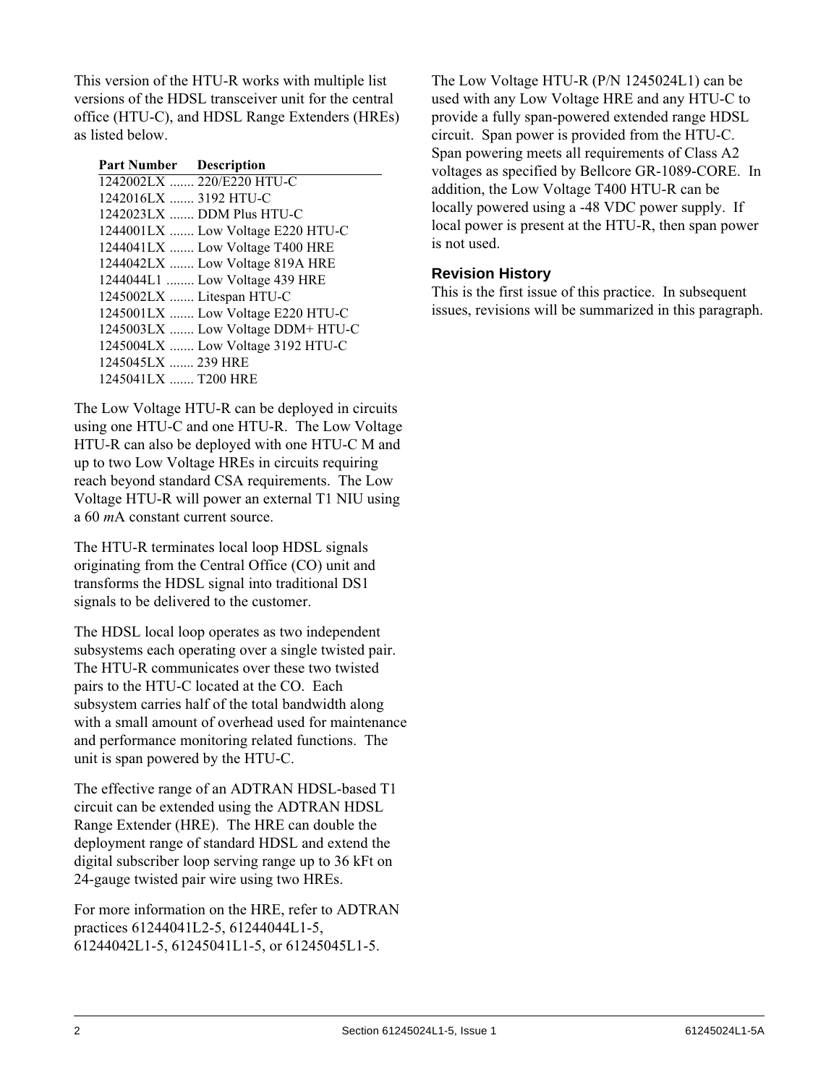This version of the HTU-R works with multiple list versions of the HDSL transceiver unit for the central office (HTU-C), and HDSL Range Extenders (HREs) as listed below.

| <b>Part Number Description</b> |                                   |
|--------------------------------|-----------------------------------|
|                                | 1242002LX  220/E220 HTU-C         |
| 1242016LX  3192 HTU-C          |                                   |
|                                | 1242023LX  DDM Plus HTU-C         |
|                                | 1244001LX  Low Voltage E220 HTU-C |
|                                | 1244041LX  Low Voltage T400 HRE   |
|                                | 1244042LX  Low Voltage 819A HRE   |
|                                | 1244044L1  Low Voltage 439 HRE    |
|                                | 1245002LX  Litespan HTU-C         |
|                                | 1245001LX  Low Voltage E220 HTU-C |
|                                | 1245003LX  Low Voltage DDM+ HTU-C |
|                                | 1245004LX  Low Voltage 3192 HTU-C |
| 1245045LX  239 HRE             |                                   |
| 1245041LX  T200 HRE            |                                   |

The Low Voltage HTU-R can be deployed in circuits using one HTU-C and one HTU-R. The Low Voltage HTU-R can also be deployed with one HTU-C M and up to two Low Voltage HREs in circuits requiring reach beyond standard CSA requirements. The Low Voltage HTU-R will power an external T1 NIU using a 60 *m*A constant current source.

The HTU-R terminates local loop HDSL signals originating from the Central Office (CO) unit and transforms the HDSL signal into traditional DS1 signals to be delivered to the customer.

The HDSL local loop operates as two independent subsystems each operating over a single twisted pair. The HTU-R communicates over these two twisted pairs to the HTU-C located at the CO. Each subsystem carries half of the total bandwidth along with a small amount of overhead used for maintenance and performance monitoring related functions. The unit is span powered by the HTU-C.

The effective range of an ADTRAN HDSL-based T1 circuit can be extended using the ADTRAN HDSL Range Extender (HRE). The HRE can double the deployment range of standard HDSL and extend the digital subscriber loop serving range up to 36 kFt on 24-gauge twisted pair wire using two HREs.

For more information on the HRE, refer to ADTRAN practices 61244041L2-5, 61244044L1-5, 61244042L1-5, 61245041L1-5, or 61245045L1-5.

The Low Voltage HTU-R (P/N 1245024L1) can be used with any Low Voltage HRE and any HTU-C to provide a fully span-powered extended range HDSL circuit. Span power is provided from the HTU-C. Span powering meets all requirements of Class A2 voltages as specified by Bellcore GR-1089-CORE. In addition, the Low Voltage T400 HTU-R can be locally powered using a -48 VDC power supply. If local power is present at the HTU-R, then span power is not used.

# **Revision History**

This is the first issue of this practice. In subsequent issues, revisions will be summarized in this paragraph.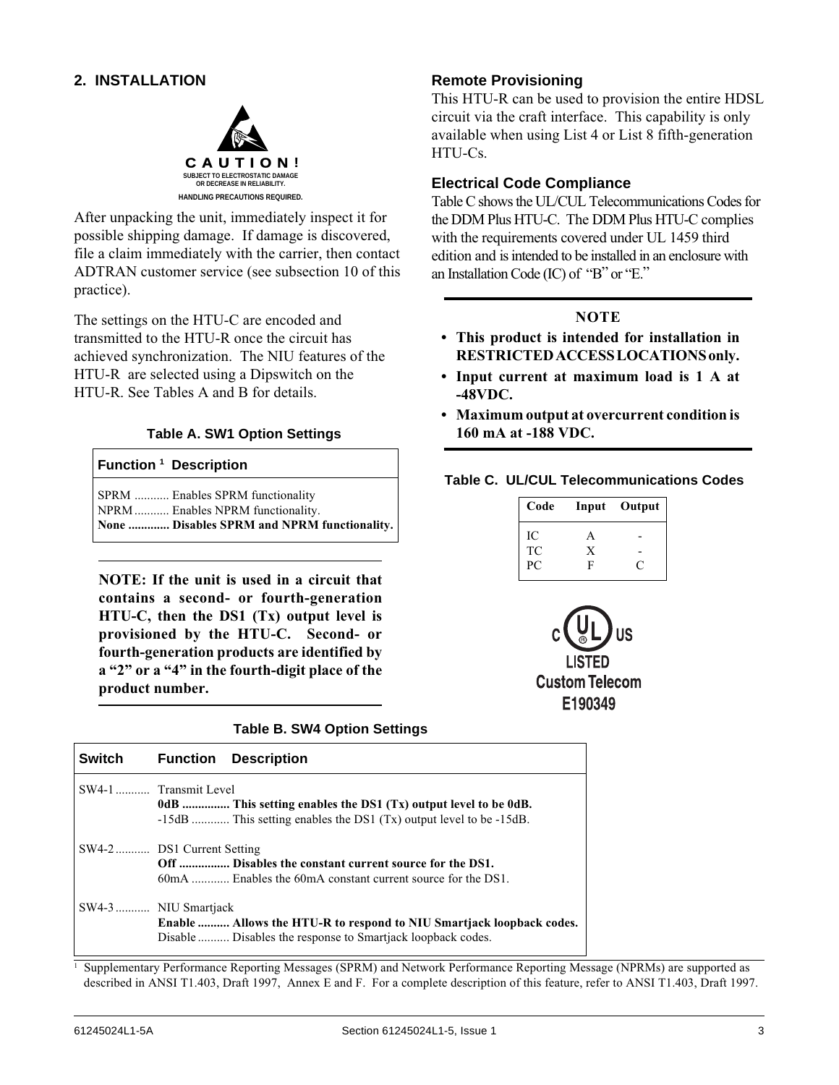# **2. INSTALLATION**



After unpacking the unit, immediately inspect it for possible shipping damage. If damage is discovered, file a claim immediately with the carrier, then contact ADTRAN customer service (see subsection 10 of this practice).

The settings on the HTU-C are encoded and transmitted to the HTU-R once the circuit has achieved synchronization. The NIU features of the HTU-R are selected using a Dipswitch on the HTU-R. See Tables A and B for details.

#### **Table A. SW1 Option Settings**

#### **Function 1 Description**

SPRM ........... Enables SPRM functionality NPRM ........... Enables NPRM functionality. **None ............. Disables SPRM and NPRM functionality.**

**NOTE: If the unit is used in a circuit that contains a second- or fourth-generation HTU-C, then the DS1 (Tx) output level is provisioned by the HTU-C. Second- or fourth-generation products are identified by a "2" or a "4" in the fourth-digit place of the product number.**

#### **Table B. SW4 Option Settings**

| <b>Switch</b> | <b>Function Description</b>                                                                                                                                     |
|---------------|-----------------------------------------------------------------------------------------------------------------------------------------------------------------|
|               | SW4-1  Transmit Level<br>0dB  This setting enables the DS1 $(Tx)$ output level to be 0dB.<br>-15dB  This setting enables the DS1 (Tx) output level to be -15dB. |
|               | SW4-2 DS1 Current Setting<br>Off  Disables the constant current source for the DS1.<br>60mA , Enables the 60mA constant current source for the DS1.             |
|               | SW4-3 NIU Smartjack<br>Enable  Allows the HTU-R to respond to NIU Smartjack loopback codes.<br>Disable  Disables the response to Smartjack loopback codes.      |

#### 1 Supplementary Performance Reporting Messages (SPRM) and Network Performance Reporting Message (NPRMs) are supported as described in ANSI T1.403, Draft 1997, Annex E and F. For a complete description of this feature, refer to ANSI T1.403, Draft 1997.

#### **Remote Provisioning**

This HTU-R can be used to provision the entire HDSL circuit via the craft interface. This capability is only available when using List 4 or List 8 fifth-generation HTU-Cs.

#### **Electrical Code Compliance**

Table C shows the UL/CUL Telecommunications Codes for the DDM Plus HTU-C. The DDM Plus HTU-C complies with the requirements covered under UL 1459 third edition and is intended to be installed in an enclosure with an Installation Code (IC) of "B" or "E."

# **NOTE**

- **This product is intended for installation in RESTRICTED ACCESS LOCATIONS only.**
- **Input current at maximum load is 1 A at -48VDC.**
- **Maximum output at overcurrent condition is 160 mA at -188 VDC.**

#### **Table C. UL/CUL Telecommunications Codes**

| Code     |              | Input Output |
|----------|--------------|--------------|
| IC<br>TC | $\mathsf{A}$ |              |
|          | X            |              |
| PC       | F            | C            |

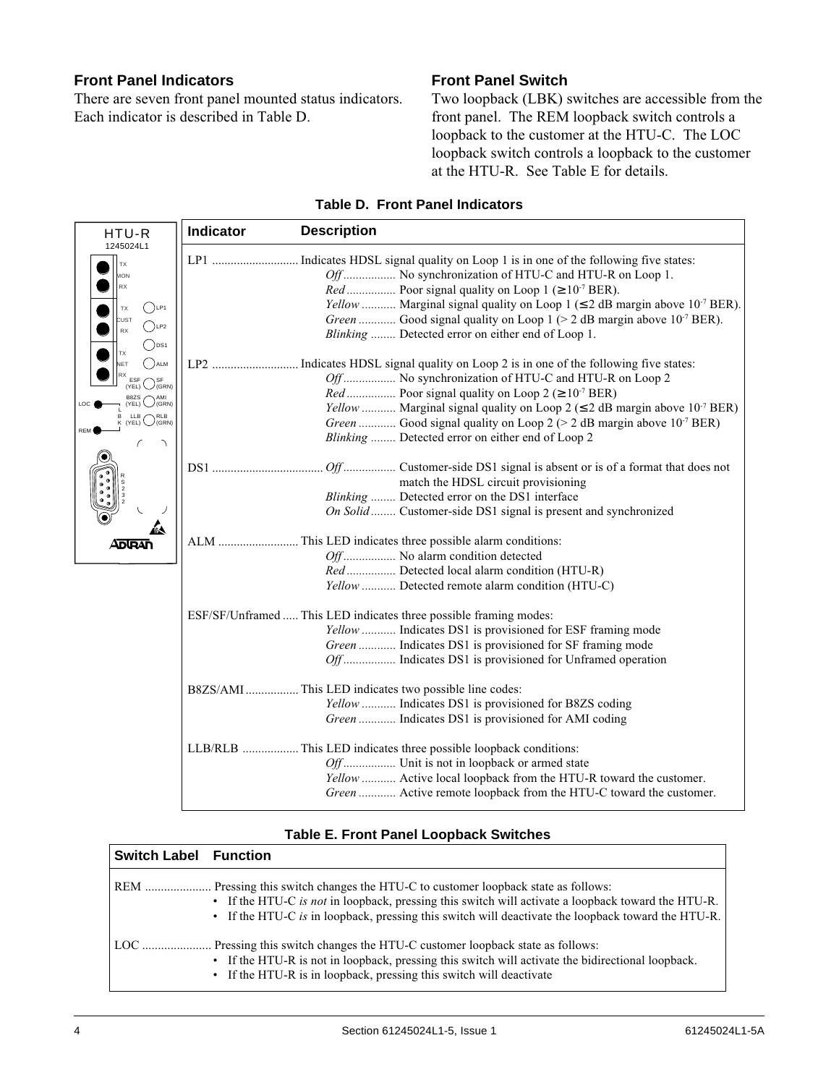## **Front Panel Indicators**

There are seven front panel mounted status indicators. Each indicator is described in Table D.

# **Front Panel Switch**

Two loopback (LBK) switches are accessible from the front panel. The REM loopback switch controls a loopback to the customer at the HTU-C. The LOC loopback switch controls a loopback to the customer at the HTU-R. See Table E for details.

| HTU-R                                                                                                               | Indicator<br><b>Description</b>                                                                                                                                                                                                                                                                                                                                                                                                                 |
|---------------------------------------------------------------------------------------------------------------------|-------------------------------------------------------------------------------------------------------------------------------------------------------------------------------------------------------------------------------------------------------------------------------------------------------------------------------------------------------------------------------------------------------------------------------------------------|
| 1245024L1<br>TX<br><b>MON</b><br><b>RX</b><br>$()$ LP1<br>ТX<br>CUST<br>$($ )LP2<br><b>RX</b><br>$)$ <sub>DS1</sub> | Indicates HDSL signal quality on Loop 1 is in one of the following five states:<br>LP1<br>Off No synchronization of HTU-C and HTU-R on Loop 1.<br><i>Red</i> Poor signal quality on Loop 1 ( $\geq 10^{-7}$ BER).<br>Yellow  Marginal signal quality on Loop 1 ( $\leq$ 2 dB margin above 10 <sup>-7</sup> BER).<br>Green  Good signal quality on Loop 1 (> 2 dB margin above $10-7$ BER).<br>Blinking  Detected error on either end of Loop 1. |
| ) ALM<br><b>NET</b><br>(GRN)<br>AMI<br><b>B87S</b><br>(GRN)<br>(YEL)<br><b>RLB</b><br>(YEL)<br>(GRN)                | Off No synchronization of HTU-C and HTU-R on Loop 2<br><i>Red</i> Poor signal quality on Loop $2 \approx 10^{-7}$ BER)<br>Yellow  Marginal signal quality on Loop 2 ( $\leq$ 2 dB margin above 10 <sup>-7</sup> BER)<br>Green  Good signal quality on Loop 2 (> 2 dB margin above 10 <sup>-7</sup> BER)<br>Blinking  Detected error on either end of Loop 2                                                                                     |
|                                                                                                                     | match the HDSL circuit provisioning<br>Blinking  Detected error on the DS1 interface<br>On Solid  Customer-side DS1 signal is present and synchronized                                                                                                                                                                                                                                                                                          |
| ADURAN                                                                                                              | Off No alarm condition detected<br>Red Detected local alarm condition (HTU-R)<br>Yellow  Detected remote alarm condition (HTU-C)                                                                                                                                                                                                                                                                                                                |
|                                                                                                                     | ESF/SF/Unframed  This LED indicates three possible framing modes:<br>Yellow  Indicates DS1 is provisioned for ESF framing mode<br>Green  Indicates DS1 is provisioned for SF framing mode<br>Off Indicates DS1 is provisioned for Unframed operation                                                                                                                                                                                            |
|                                                                                                                     | B8ZS/AMI  This LED indicates two possible line codes:<br>Yellow  Indicates DS1 is provisioned for B8ZS coding<br>Green  Indicates DS1 is provisioned for AMI coding                                                                                                                                                                                                                                                                             |
|                                                                                                                     | LLB/RLB This LED indicates three possible loopback conditions:<br>Off Unit is not in loopback or armed state<br>Yellow  Active local loopback from the HTU-R toward the customer.<br>Green  Active remote loopback from the HTU-C toward the customer.                                                                                                                                                                                          |

#### **Table D. Front Panel Indicators**

#### **Table E. Front Panel Loopback Switches**

| <b>Switch Label Function</b> |                                                                                                                                                                                                                                                                                           |
|------------------------------|-------------------------------------------------------------------------------------------------------------------------------------------------------------------------------------------------------------------------------------------------------------------------------------------|
| <b>REM</b>                   | Pressing this switch changes the HTU-C to customer loopback state as follows:<br>• If the HTU-C is not in loopback, pressing this switch will activate a loopback toward the HTU-R.<br>• If the HTU-C is in loopback, pressing this switch will deactivate the loopback toward the HTU-R. |
|                              | Pressing this switch changes the HTU-C customer loopback state as follows:<br>• If the HTU-R is not in loopback, pressing this switch will activate the bidirectional loopback.<br>• If the HTU-R is in loopback, pressing this switch will deactivate                                    |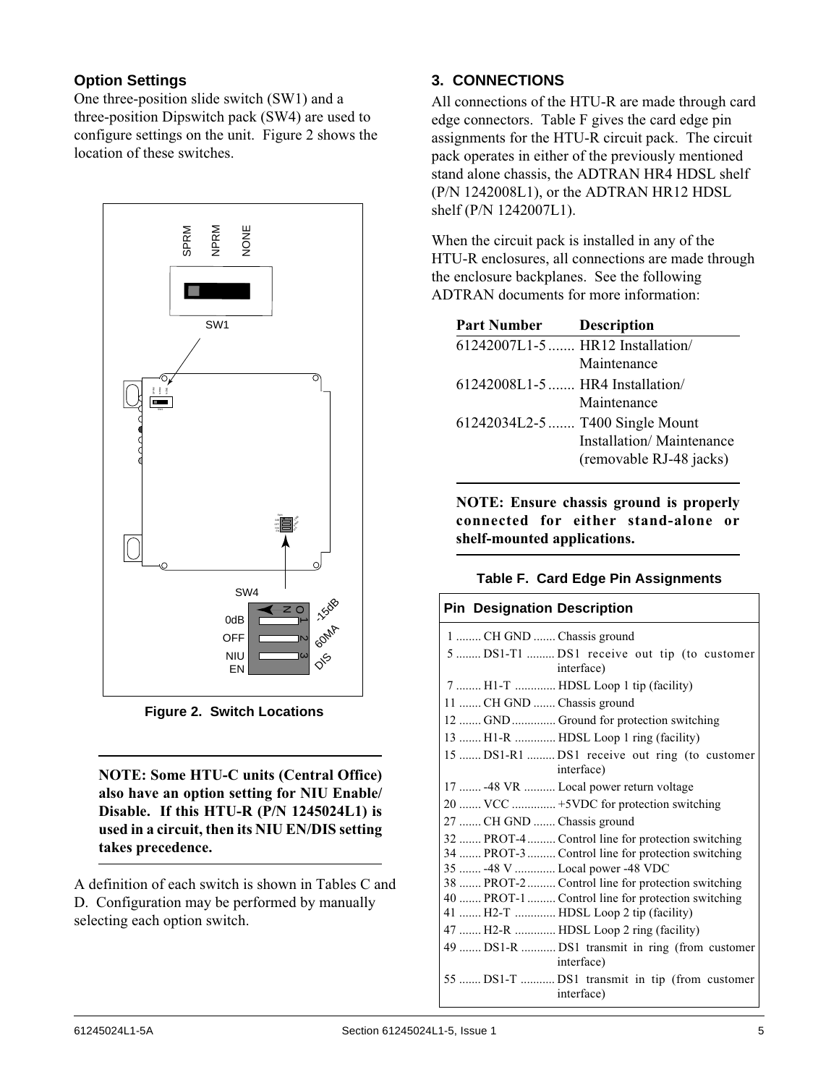# **Option Settings**

One three-position slide switch (SW1) and a three-position Dipswitch pack (SW4) are used to configure settings on the unit. Figure 2 shows the location of these switches.



**Figure 2. Switch Locations**

**NOTE: Some HTU-C units (Central Office) also have an option setting for NIU Enable/ Disable. If this HTU-R (P/N 1245024L1) is used in a circuit, then its NIU EN/DIS setting takes precedence.**

A definition of each switch is shown in Tables C and D. Configuration may be performed by manually selecting each option switch.

# **3. CONNECTIONS**

All connections of the HTU-R are made through card edge connectors. Table F gives the card edge pin assignments for the HTU-R circuit pack. The circuit pack operates in either of the previously mentioned stand alone chassis, the ADTRAN HR4 HDSL shelf (P/N␣ 1242008L1), or the ADTRAN HR12 HDSL shelf (P/N␣ 1242007L1).

When the circuit pack is installed in any of the HTU-R enclosures, all connections are made through the enclosure backplanes. See the following ADTRAN documents for more information:

| <b>Part Number</b>              | <b>Description</b>               |
|---------------------------------|----------------------------------|
|                                 | 61242007L1-5  HR12 Installation/ |
|                                 | Maintenance                      |
| 61242008L1-5  HR4 Installation/ |                                  |
|                                 | Maintenance                      |
|                                 | 61242034L2-5  T400 Single Mount  |
|                                 | Installation/Maintenance         |
|                                 | (removable RJ-48 jacks)          |

**NOTE: Ensure chassis ground is properly connected for either stand-alone or shelf-mounted applications.**

#### **Table F. Card Edge Pin Assignments**

| <b>Pin Designation Description</b>                           |
|--------------------------------------------------------------|
| 1  CH GND  Chassis ground                                    |
| 5  DS1-T1  DS1 receive out tip (to customer<br>interface)    |
| 7  H1-T  HDSL Loop 1 tip (facility)                          |
| 11  CH GND  Chassis ground                                   |
| 12  GND  Ground for protection switching                     |
| 13  H1-R  HDSL Loop 1 ring (facility)                        |
| 15  DS1-R1  DS1 receive out ring (to customer<br>interface)  |
| 17  -48 VR  Local power return voltage                       |
| 20  VCC  +5VDC for protection switching                      |
| 27  CH GND  Chassis ground                                   |
| 32  PROT-4  Control line for protection switching            |
| 34  PROT-3  Control line for protection switching            |
| 35  -48 V  Local power -48 VDC                               |
| 38  PROT-2  Control line for protection switching            |
| 40  PROT-1  Control line for protection switching            |
| 41  H2-T  HDSL Loop 2 tip (facility)                         |
| 47  H2-R  HDSL Loop 2 ring (facility)                        |
| 49  DS1-R  DS1 transmit in ring (from customer<br>interface) |
| 55  DS1-T  DS1 transmit in tip (from customer<br>interface)  |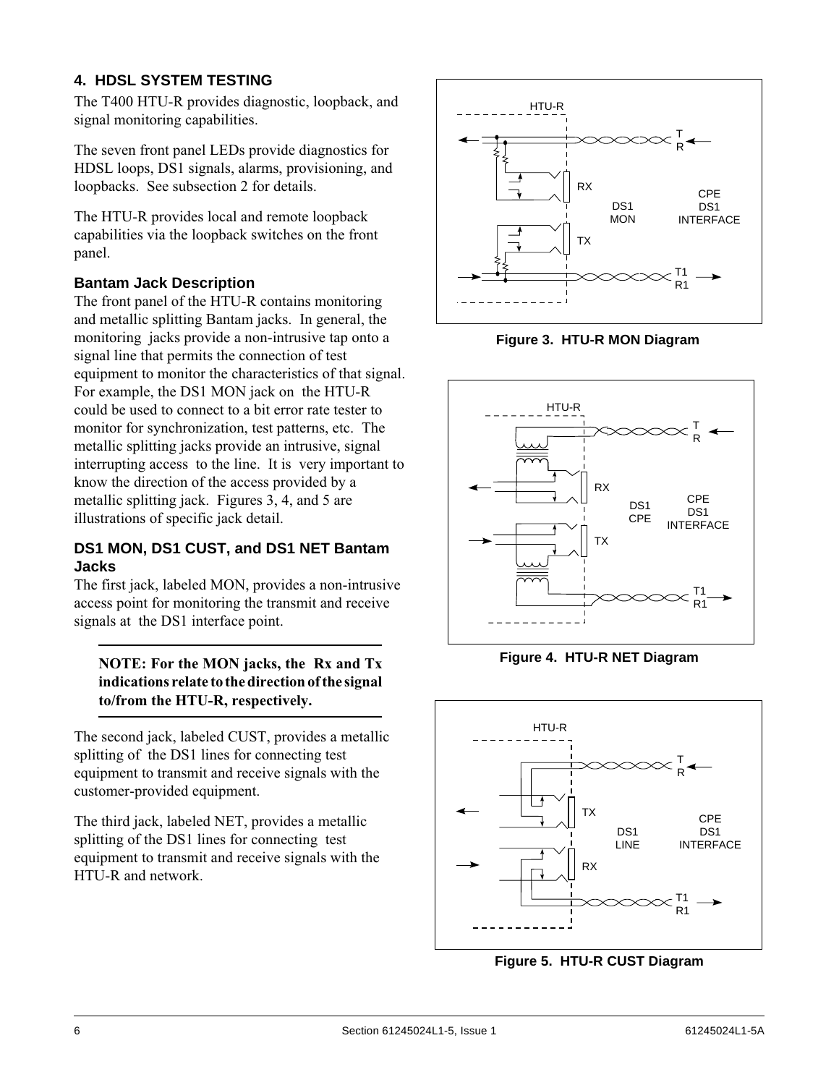# **4. HDSL SYSTEM TESTING**

The T400 HTU-R provides diagnostic, loopback, and signal monitoring capabilities.

The seven front panel LEDs provide diagnostics for HDSL loops, DS1 signals, alarms, provisioning, and loopbacks. See subsection 2 for details.

The HTU-R provides local and remote loopback capabilities via the loopback switches on the front panel.

# **Bantam Jack Description**

The front panel of the HTU-R contains monitoring and metallic splitting Bantam jacks. In general, the monitoring jacks provide a non-intrusive tap onto a signal line that permits the connection of test equipment to monitor the characteristics of that signal. For example, the DS1 MON jack on the HTU-R could be used to connect to a bit error rate tester to monitor for synchronization, test patterns, etc. The metallic splitting jacks provide an intrusive, signal interrupting access to the line. It is very important to know the direction of the access provided by a metallic splitting jack. Figures 3, 4, and 5 are illustrations of specific jack detail.

#### **DS1 MON, DS1 CUST, and DS1 NET Bantam Jacks**

The first jack, labeled MON, provides a non-intrusive access point for monitoring the transmit and receive signals at the DS1 interface point.

**NOTE: For the MON jacks, the Rx and Tx indications relate to the direction of the signal to/from the HTU-R, respectively.**

The second jack, labeled CUST, provides a metallic splitting of the DS1 lines for connecting test equipment to transmit and receive signals with the customer-provided equipment.

The third jack, labeled NET, provides a metallic splitting of the DS1 lines for connecting test equipment to transmit and receive signals with the HTU-R and network.



**Figure 3. HTU-R MON Diagram**



**Figure 4. HTU-R NET Diagram**



**Figure 5. HTU-R CUST Diagram**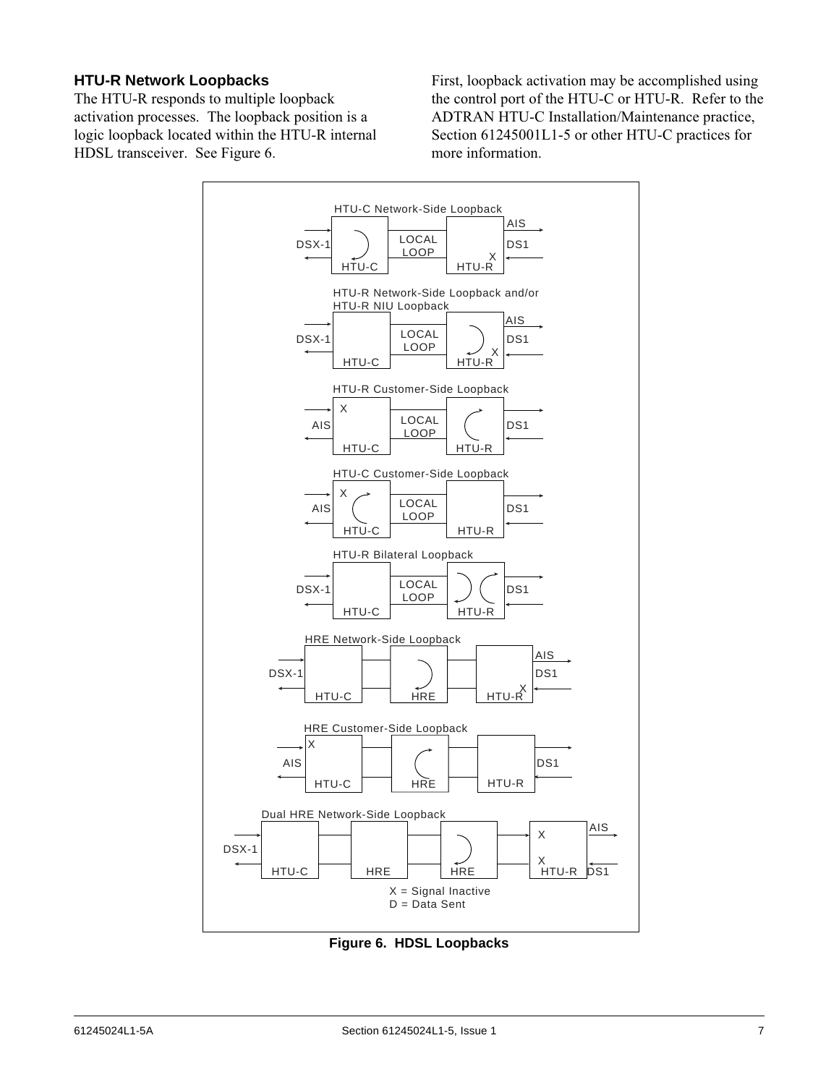#### **HTU-R Network Loopbacks**

The HTU-R responds to multiple loopback activation processes. The loopback position is a logic loopback located within the HTU-R internal HDSL transceiver. See Figure 6.

First, loopback activation may be accomplished using the control port of the HTU-C or HTU-R. Refer to the ADTRAN HTU-C Installation/Maintenance practice, Section 61245001L1-5 or other HTU-C practices for more information.



**Figure 6. HDSL Loopbacks**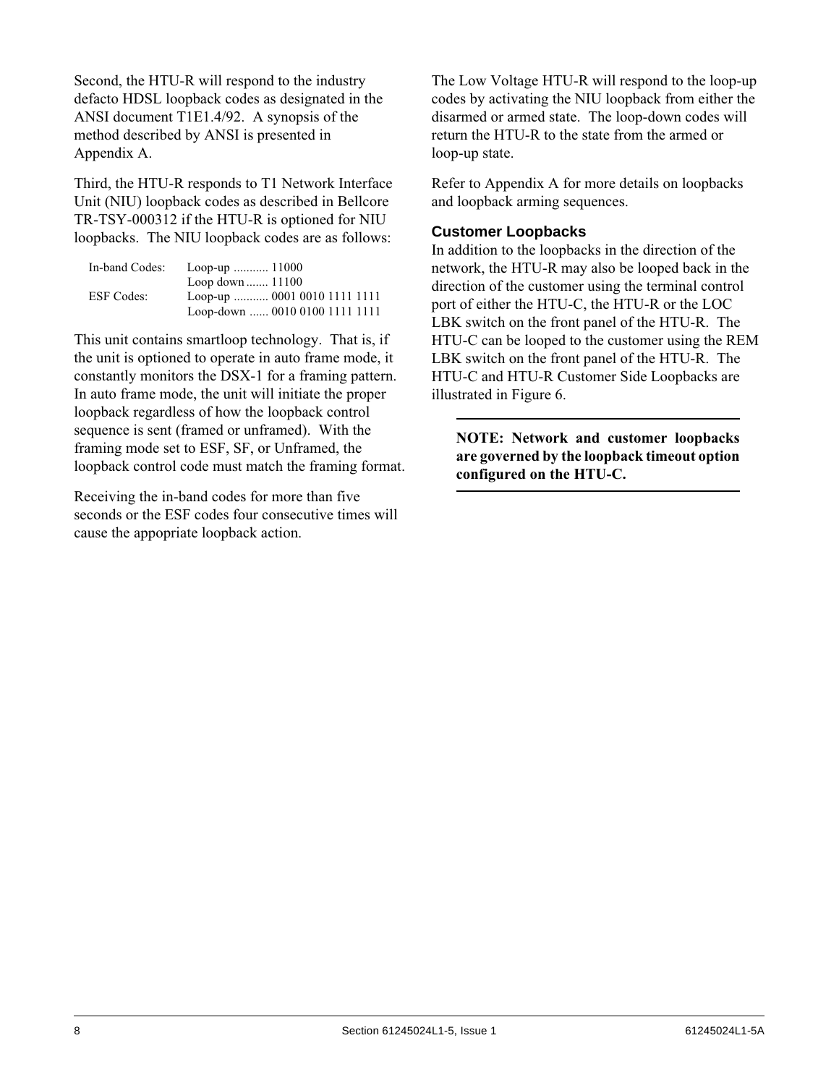Second, the HTU-R will respond to the industry defacto HDSL loopback codes as designated in the ANSI document T1E1.4/92. A synopsis of the method described by ANSI is presented in Appendix␣ A.

Third, the HTU-R responds to T1 Network Interface Unit (NIU) loopback codes as described in Bellcore TR-TSY-000312 if the HTU-R is optioned for NIU loopbacks. The NIU loopback codes are as follows:

| In-band Codes:    | Loop-up $11000$                |
|-------------------|--------------------------------|
|                   | Loop down $11100$              |
| <b>ESF</b> Codes: | Loop-up  0001 0010 1111 1111   |
|                   | Loop-down  0010 0100 1111 1111 |

This unit contains smartloop technology. That is, if the unit is optioned to operate in auto frame mode, it constantly monitors the DSX-1 for a framing pattern. In auto frame mode, the unit will initiate the proper loopback regardless of how the loopback control sequence is sent (framed or unframed). With the framing mode set to ESF, SF, or Unframed, the loopback control code must match the framing format.

Receiving the in-band codes for more than five seconds or the ESF codes four consecutive times will cause the appopriate loopback action.

The Low Voltage HTU-R will respond to the loop-up codes by activating the NIU loopback from either the disarmed or armed state. The loop-down codes will return the HTU-R to the state from the armed or loop-up state.

Refer to Appendix A for more details on loopbacks and loopback arming sequences.

#### **Customer Loopbacks**

In addition to the loopbacks in the direction of the network, the HTU-R may also be looped back in the direction of the customer using the terminal control port of either the HTU-C, the HTU-R or the LOC LBK switch on the front panel of the HTU-R. The HTU-C can be looped to the customer using the REM LBK switch on the front panel of the HTU-R. The HTU-C and HTU-R Customer Side Loopbacks are illustrated in Figure 6.

**NOTE: Network and customer loopbacks are governed by the loopback timeout option configured on the HTU-C.**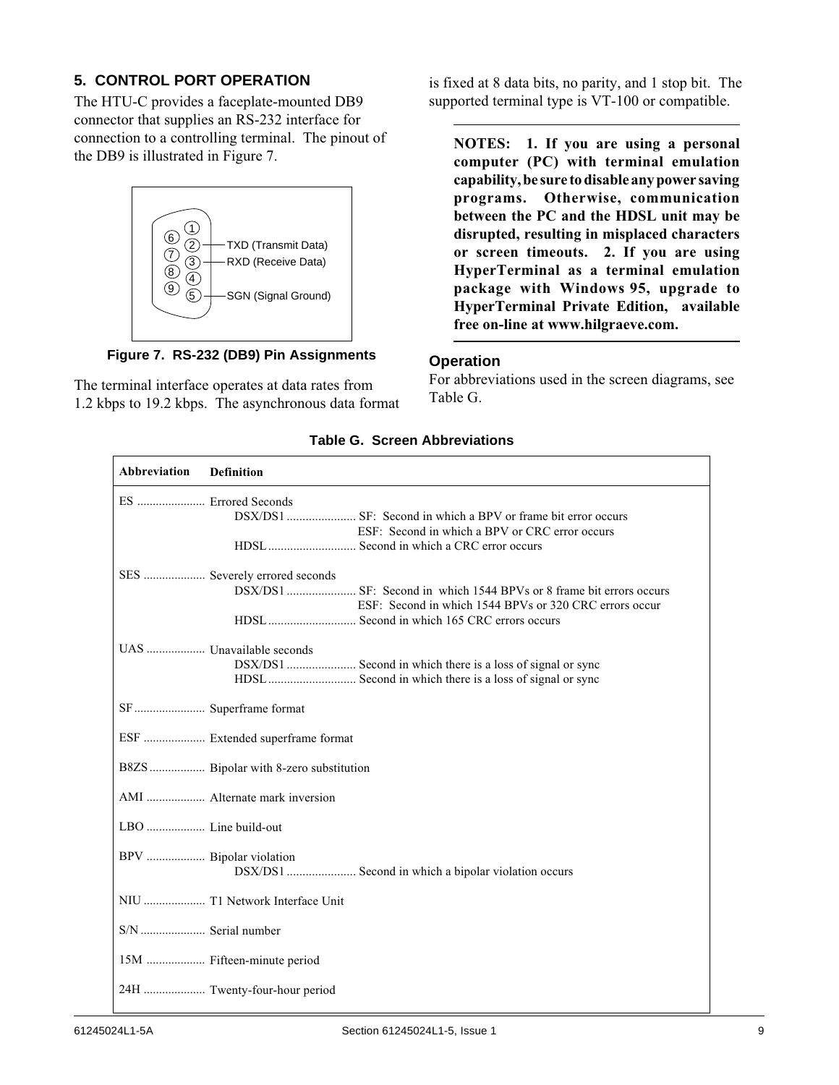# **5. CONTROL PORT OPERATION**

The HTU-C provides a faceplate-mounted DB9 connector that supplies an RS-232 interface for connection to a controlling terminal. The pinout of the DB9 is illustrated in Figure 7.



**Figure 7. RS-232 (DB9) Pin Assignments**

The terminal interface operates at data rates from 1.2␣ kbps to 19.2 kbps. The asynchronous data format is fixed at 8 data bits, no parity, and 1 stop bit. The supported terminal type is VT-100 or compatible.

**NOTES: 1. If you are using a personal computer (PC) with terminal emulation capability, be sure to disable any power saving programs. Otherwise, communication between the PC and the HDSL unit may be disrupted, resulting in misplaced characters or screen timeouts. 2. If you are using HyperTerminal as a terminal emulation package with Windows␣ 95, upgrade to HyperTerminal Private Edition, available free on-line at www.hilgraeve.com.**

#### **Operation**

For abbreviations used in the screen diagrams, see Table G.

| Abbreviation<br><b>Definition</b>                      |
|--------------------------------------------------------|
| ES  Errored Seconds                                    |
| ESF: Second in which a BPV or CRC error occurs         |
|                                                        |
| SES  Severely errored seconds                          |
|                                                        |
| ESF: Second in which 1544 BPVs or 320 CRC errors occur |
| UAS  Unavailable seconds                               |
|                                                        |
|                                                        |
|                                                        |
| ESF  Extended superframe format                        |
| B8ZS Bipolar with 8-zero substitution                  |
| AMI  Alternate mark inversion                          |
|                                                        |
| BPV  Bipolar violation                                 |
| DSX/DS1  Second in which a bipolar violation occurs    |
| NIU  T1 Network Interface Unit                         |
| S/N  Serial number                                     |
| 15M  Fifteen-minute period                             |
| 24H  Twenty-four-hour period                           |

#### **Table G. Screen Abbreviations**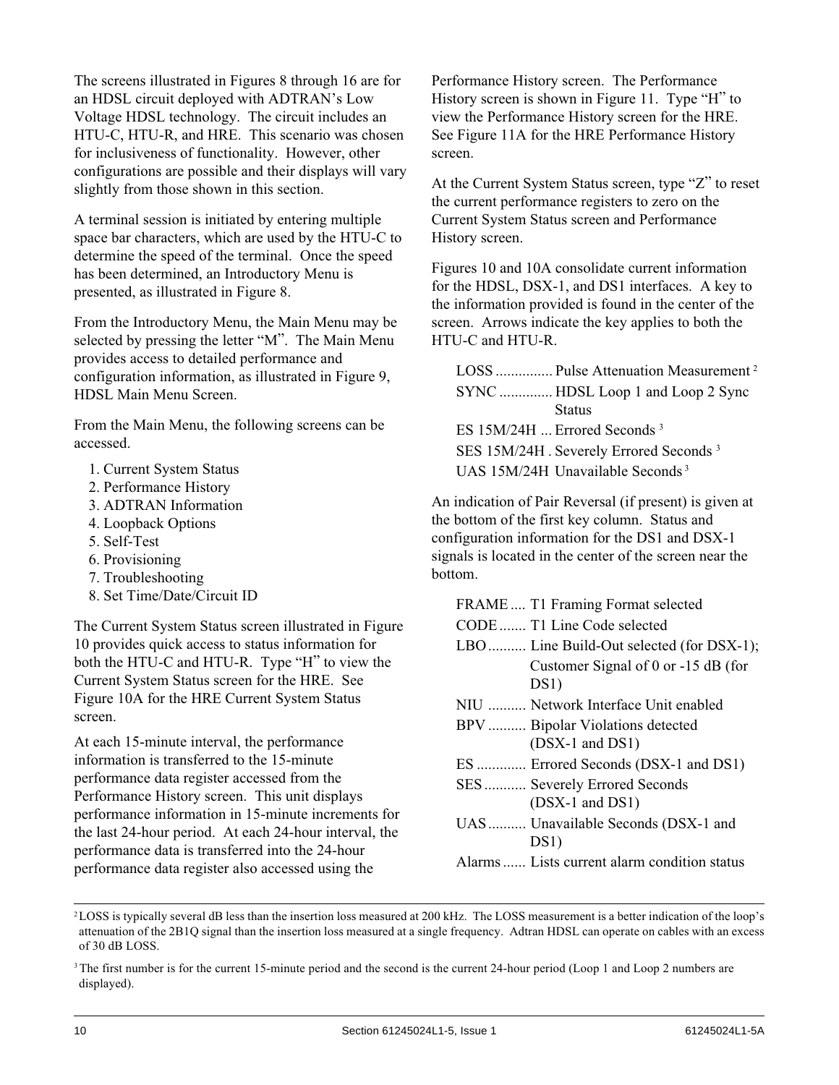The screens illustrated in Figures 8 through 16 are for an HDSL circuit deployed with ADTRAN's Low Voltage HDSL technology. The circuit includes an HTU-C, HTU-R, and HRE. This scenario was chosen for inclusiveness of functionality. However, other configurations are possible and their displays will vary slightly from those shown in this section.

A terminal session is initiated by entering multiple space bar characters, which are used by the HTU-C to determine the speed of the terminal. Once the speed has been determined, an Introductory Menu is presented, as illustrated in Figure 8.

From the Introductory Menu, the Main Menu may be selected by pressing the letter "M". The Main Menu provides access to detailed performance and configuration information, as illustrated in Figure 9, HDSL Main Menu Screen.

From the Main Menu, the following screens can be accessed.

- 1. Current System Status
- 2. Performance History
- 3. ADTRAN Information
- 4. Loopback Options
- 5. Self-Test
- 6. Provisioning
- 7. Troubleshooting
- 8. Set Time/Date/Circuit ID

The Current System Status screen illustrated in Figure 10 provides quick access to status information for both the HTU-C and HTU-R. Type "H" to view the Current System Status screen for the HRE. See Figure 10A for the HRE Current System Status screen.

At each 15-minute interval, the performance information is transferred to the 15-minute performance data register accessed from the Performance History screen. This unit displays performance information in 15-minute increments for the last 24-hour period. At each 24-hour interval, the performance data is transferred into the 24-hour performance data register also accessed using the

Performance History screen. The Performance History screen is shown in Figure 11. Type "H" to view the Performance History screen for the HRE. See Figure 11A for the HRE Performance History screen.

At the Current System Status screen, type "Z" to reset the current performance registers to zero on the Current System Status screen and Performance History screen.

Figures 10 and 10A consolidate current information for the HDSL, DSX-1, and DS1 interfaces. A key to the information provided is found in the center of the screen. Arrows indicate the key applies to both the HTU-C and HTU-R.

| LOSS  Pulse Attenuation Measurement <sup>2</sup>   |  |
|----------------------------------------------------|--|
| SYNC  HDSL Loop 1 and Loop 2 Sync                  |  |
| <b>Status</b>                                      |  |
| ES 15M/24H  Errored Seconds <sup>3</sup>           |  |
| SES 15M/24H. Severely Errored Seconds <sup>3</sup> |  |
| UAS 15M/24H Unavailable Seconds <sup>3</sup>       |  |

An indication of Pair Reversal (if present) is given at the bottom of the first key column. Status and configuration information for the DS1 and DSX-1 signals is located in the center of the screen near the bottom.

| FRAME T1 Framing Format selected             |
|----------------------------------------------|
| CODE  T1 Line Code selected                  |
| LBO Line Build-Out selected (for DSX-1);     |
| Customer Signal of 0 or -15 dB (for<br>DS1)  |
| NIU  Network Interface Unit enabled          |
| BPV Bipolar Violations detected              |
| $(DSX-1$ and $DS1)$                          |
| ES  Errored Seconds (DSX-1 and DS1)          |
| SES Severely Errored Seconds                 |
| $(DSX-1$ and $DS1)$                          |
| UAS Unavailable Seconds (DSX-1 and           |
| DS <sub>1</sub>                              |
| Alarms  Lists current alarm condition status |

<sup>&</sup>lt;sup>2</sup>LOSS is typically several dB less than the insertion loss measured at 200 kHz. The LOSS measurement is a better indication of the loop's attenuation of the 2B1Q signal than the insertion loss measured at a single frequency. Adtran HDSL can operate on cables with an excess of 30 dB LOSS.

<sup>&</sup>lt;sup>3</sup>The first number is for the current 15-minute period and the second is the current 24-hour period (Loop 1 and Loop 2 numbers are displayed).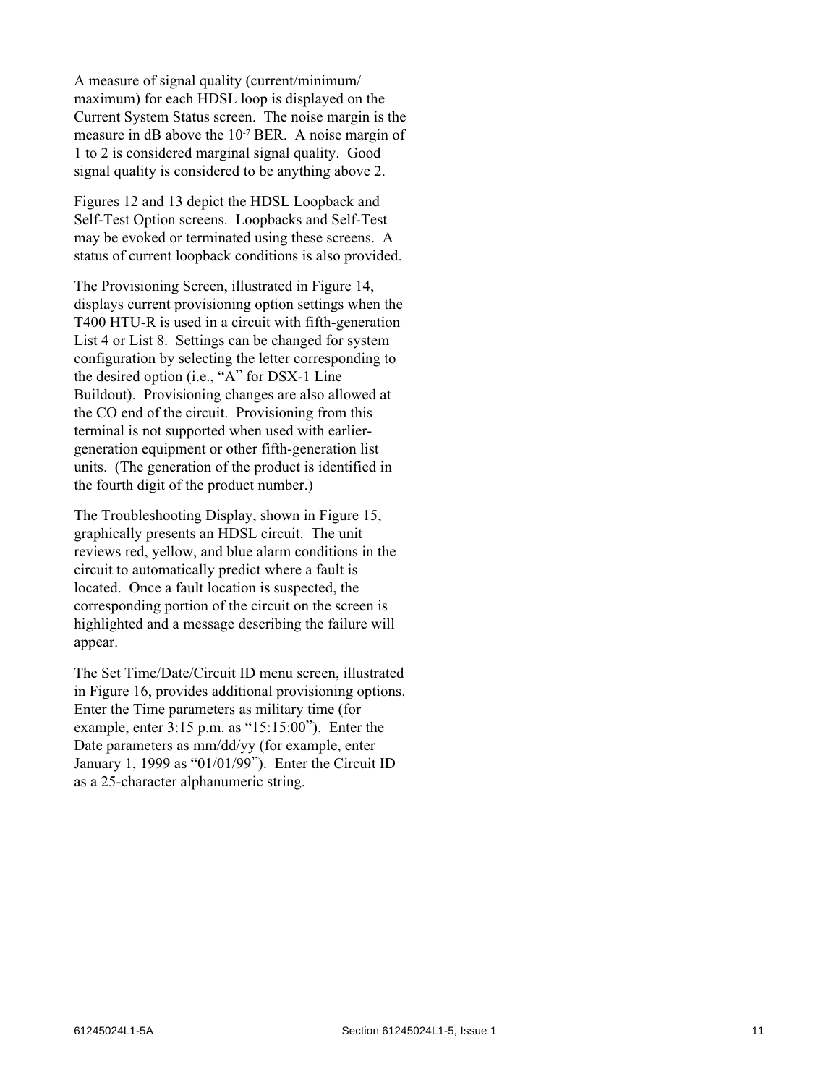A measure of signal quality (current/minimum/ maximum) for each HDSL loop is displayed on the Current System Status screen. The noise margin is the measure in dB above the 10-7 BER. A noise margin of 1 to 2 is considered marginal signal quality. Good signal quality is considered to be anything above 2.

Figures 12 and 13 depict the HDSL Loopback and Self-Test Option screens. Loopbacks and Self-Test may be evoked or terminated using these screens. A status of current loopback conditions is also provided.

The Provisioning Screen, illustrated in Figure 14, displays current provisioning option settings when the T400 HTU-R is used in a circuit with fifth-generation List 4 or List 8. Settings can be changed for system configuration by selecting the letter corresponding to the desired option (i.e., "A" for DSX-1 Line Buildout). Provisioning changes are also allowed at the CO end of the circuit. Provisioning from this terminal is not supported when used with earliergeneration equipment or other fifth-generation list units. (The generation of the product is identified in the fourth digit of the product number.)

The Troubleshooting Display, shown in Figure 15, graphically presents an HDSL circuit. The unit reviews red, yellow, and blue alarm conditions in the circuit to automatically predict where a fault is located. Once a fault location is suspected, the corresponding portion of the circuit on the screen is highlighted and a message describing the failure will appear.

The Set Time/Date/Circuit ID menu screen, illustrated in Figure 16, provides additional provisioning options. Enter the Time parameters as military time (for example, enter  $3:15$  p.m. as " $15:15:00$ "). Enter the Date parameters as mm/dd/yy (for example, enter January 1, 1999 as "01/01/99"). Enter the Circuit ID as a 25-character alphanumeric string.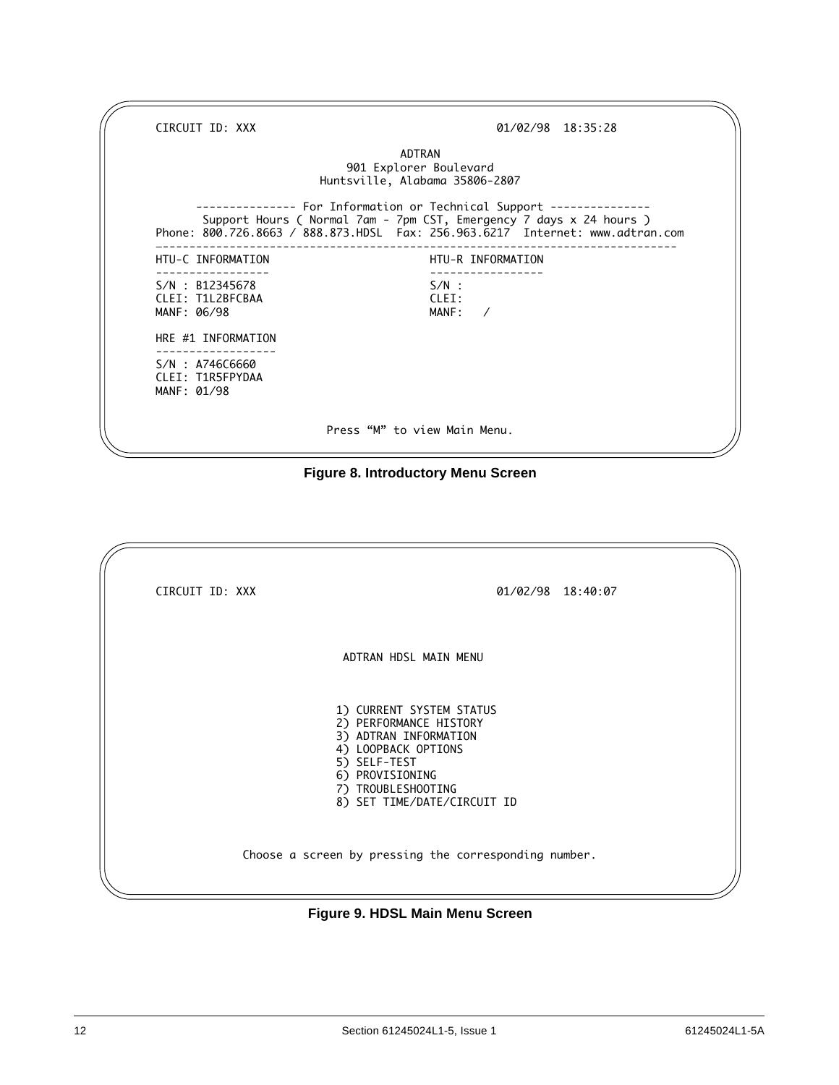CIRCUIT ID: XXX 01/02/98 18:35:28 ADTRAN 901 Explorer Boulevard Huntsville, Alabama 35806-2807 --------------- For Information or Technical Support --------------- Support Hours ( Normal 7am - 7pm CST, Emergency 7 days x 24 hours ) Phone: 800.726.8663 / 888.873.HDSL Fax: 256.963.6217 Internet: www.adtran.com —----------------------------------------------------------------------------- HTU-C INFORMATION ----------------- -----------------  $S/N : B12345678$ CLEI: T1L2BFCBAA CLEI: MANF: 06/98 HRE #1 INFORMATION ------------------ S/N : A746C6660 CLEI: T1R5FPYDAA MANF: 01/98 Press "M" to view Main Menu.



| CIRCUIT ID: XXX | 01/02/98 18:40:07                                                                                                                                                                          |
|-----------------|--------------------------------------------------------------------------------------------------------------------------------------------------------------------------------------------|
|                 | ADTRAN HDSL MAIN MENU                                                                                                                                                                      |
|                 | 1) CURRENT SYSTEM STATUS<br>2) PERFORMANCE HISTORY<br>3) ADTRAN INFORMATION<br>4) LOOPBACK OPTIONS<br>5) SELF-TEST<br>6) PROVISIONING<br>7) TROUBLESHOOTING<br>8) SET TIME/DATE/CIRCUIT ID |
|                 | Choose a screen by pressing the corresponding number.                                                                                                                                      |

#### **Figure 9. HDSL Main Menu Screen**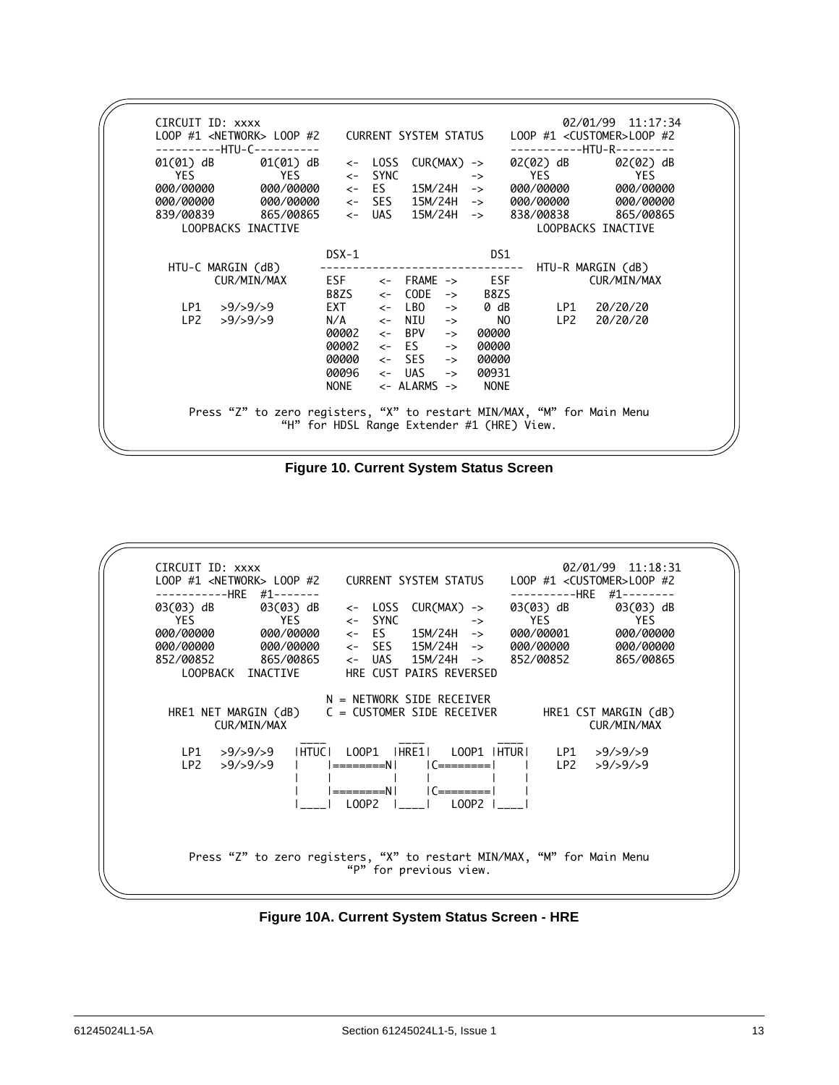|                   | ---------HTU-C--------- |                                            |              |                                   |               |                                |                         | -HTU-R---------         |
|-------------------|-------------------------|--------------------------------------------|--------------|-----------------------------------|---------------|--------------------------------|-------------------------|-------------------------|
| 01(01) dB         | 01(01) dB               | $\leftarrow$ SYNC                          | <- LOSS      | CUR(MAX) ->                       |               |                                | 02(02) dB<br><b>YES</b> | 02(02) dB               |
| YES<br>000/00000  | <b>YES</b><br>000/00000 |                                            |              | <- ES 15M/24H                     |               | $\rightarrow$<br>$\rightarrow$ | 000/00000               | <b>YES</b><br>000/00000 |
| 000/00000         | 000/00000               |                                            |              | <- SES 15M/24H ->                 |               |                                | 000/00000               | 000/00000               |
|                   | 839/00839 865/00865     |                                            |              | <- UAS 15M/24H ->                 |               |                                |                         | 838/00838 865/00865     |
|                   | LOOPBACKS INACTIVE      |                                            |              |                                   |               |                                |                         | LOOPBACKS INACTIVE      |
|                   |                         | $DSX-1$                                    |              |                                   |               |                                | DS1                     |                         |
| HTU-C MARGIN (dB) |                         |                                            |              | --------------------------------  |               |                                |                         | HTU-R MARGIN (dB)       |
|                   | CUR/MIN/MAX             | $ESF$ $\leftarrow$ FRAME $\rightarrow$ ESF |              |                                   |               |                                |                         | CUR/MIN/MAX             |
|                   |                         | $B8ZS \leftarrow$                          |              | CODE                              | $\rightarrow$ | B8ZS                           |                         |                         |
| LP1               | >9/>9/>9                | $EXT \leftarrow$                           |              | LBO                               | $\rightarrow$ | 0 dB                           | LP1                     | 20/20/20                |
| LP2               | >9/>9/>9                | $N/A$ $\leq$                               |              | NIU                               | $\rightarrow$ |                                | NO<br>LP2               | 20/20/20                |
|                   |                         | 00002                                      | $\leftarrow$ | BPV                               | $\rightarrow$ | 00000                          |                         |                         |
|                   |                         | 00002                                      |              | $\leftarrow$ ES                   | $\rightarrow$ | 00000                          |                         |                         |
|                   |                         | 00000                                      |              | $\leftarrow$ SES                  | $\rightarrow$ | 00000                          |                         |                         |
|                   |                         | 00096                                      |              | <- UAS                            | $\rightarrow$ | 00931                          |                         |                         |
|                   |                         | NONE                                       |              | $\leftarrow$ ALARMS $\rightarrow$ |               | <b>NONE</b>                    |                         |                         |

**Figure 10. Current System Status Screen**



**Figure 10A. Current System Status Screen - HRE**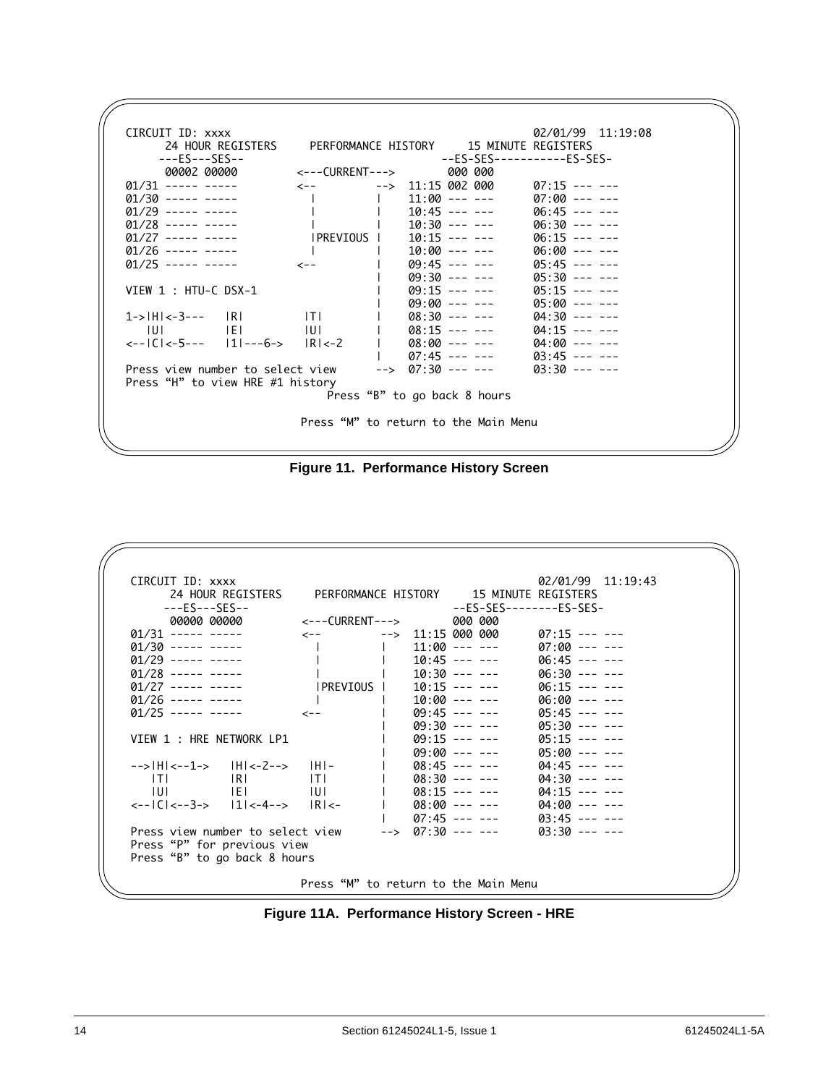

**Figure 11. Performance History Screen**

| CIRCUIT ID: XXXX                                                                                                                                                                                                                                                                                                                                                                                                    |                                      |  |                                                 | 02/01/99 11:19:43                                                  |  |
|---------------------------------------------------------------------------------------------------------------------------------------------------------------------------------------------------------------------------------------------------------------------------------------------------------------------------------------------------------------------------------------------------------------------|--------------------------------------|--|-------------------------------------------------|--------------------------------------------------------------------|--|
| 24 HOUR REGISTERS PERFORMANCE HISTORY 15 MINUTE REGISTERS                                                                                                                                                                                                                                                                                                                                                           |                                      |  |                                                 |                                                                    |  |
| $---ES---SES---$                                                                                                                                                                                                                                                                                                                                                                                                    |                                      |  |                                                 | --ES-SES--------ES-SES-                                            |  |
|                                                                                                                                                                                                                                                                                                                                                                                                                     |                                      |  |                                                 |                                                                    |  |
| $01/31$ ----- -----                                                                                                                                                                                                                                                                                                                                                                                                 |                                      |  |                                                 |                                                                    |  |
| $01/30$ ----- -----                                                                                                                                                                                                                                                                                                                                                                                                 | $ $ 11:00 --- --- 07:00 --- --       |  |                                                 |                                                                    |  |
| $01/29$ ----- -----                                                                                                                                                                                                                                                                                                                                                                                                 |                                      |  |                                                 | $10:45$ --- --- 06:45 --- ---                                      |  |
| $01/28$ ----- -----                                                                                                                                                                                                                                                                                                                                                                                                 | $1$ 10:30 --- --- 06:30 --- --       |  |                                                 |                                                                    |  |
| $01/27$ ----- -----                                                                                                                                                                                                                                                                                                                                                                                                 |                                      |  |                                                 |                                                                    |  |
| $01/26$ ----- -----                                                                                                                                                                                                                                                                                                                                                                                                 | $1$ 10:00 --- --- 06:00 --- --       |  |                                                 |                                                                    |  |
| $\varnothing$ 1/25 ----- ----- <-- <--                                                                                                                                                                                                                                                                                                                                                                              |                                      |  | $109:45$ --- ---                                | 05:45 --- ---                                                      |  |
|                                                                                                                                                                                                                                                                                                                                                                                                                     |                                      |  | 09:30 --- ---                                   | $05:30$ --- ---                                                    |  |
| VIEW 1 : HRE NETWORK LP1                                                                                                                                                                                                                                                                                                                                                                                            |                                      |  | $1 \qquad \qquad \text{09:15} \text{ -- -- --}$ | $05:15$ --- ---                                                    |  |
|                                                                                                                                                                                                                                                                                                                                                                                                                     |                                      |  | 09:00 --- ---                                   | 05:00 --- ---                                                      |  |
| --> H <--1->  H <-2-->  H -                                                                                                                                                                                                                                                                                                                                                                                         |                                      |  |                                                 | $1$ 08:45 --- --- 04:45 --- ---                                    |  |
| $ T $ $ R $ $ T $                                                                                                                                                                                                                                                                                                                                                                                                   |                                      |  |                                                 | $1$ 08:30 --- --- 04:30 --- ---                                    |  |
| $ U $ $ E $ $ U $<br>$\left  \frac{1}{2} \right $ = $\left  \frac{1}{2} \right $ = $\left  \frac{1}{2} \right $ = $\left  \frac{1}{2} \right $ = $\left  \frac{1}{2} \right $ = $\left  \frac{1}{2} \right $ = $\left  \frac{1}{2} \right $ = $\left  \frac{1}{2} \right $ = $\left  \frac{1}{2} \right $ = $\left  \frac{1}{2} \right $ = $\left  \frac{1}{2} \right $ = $\left  \frac{1}{2} \right $ = $\left  \$ |                                      |  |                                                 | $1$ 08:15 --- --- 04:15 --- ---<br>$1$ 08:00 --- --- 04:00 --- --- |  |
|                                                                                                                                                                                                                                                                                                                                                                                                                     |                                      |  |                                                 | $07:45$ --- --- $03:45$ --- ---                                    |  |
| Press view number to select view                                                                                                                                                                                                                                                                                                                                                                                    |                                      |  | --> 07:30 --- ---                               | $03:30$ --- ---                                                    |  |
| Press "P" for previous view                                                                                                                                                                                                                                                                                                                                                                                         |                                      |  |                                                 |                                                                    |  |
|                                                                                                                                                                                                                                                                                                                                                                                                                     |                                      |  |                                                 |                                                                    |  |
| Press "B" to go back 8 hours                                                                                                                                                                                                                                                                                                                                                                                        |                                      |  |                                                 |                                                                    |  |
|                                                                                                                                                                                                                                                                                                                                                                                                                     | Press "M" to return to the Main Menu |  |                                                 |                                                                    |  |
|                                                                                                                                                                                                                                                                                                                                                                                                                     |                                      |  |                                                 |                                                                    |  |

**Figure 11A. Performance History Screen - HRE**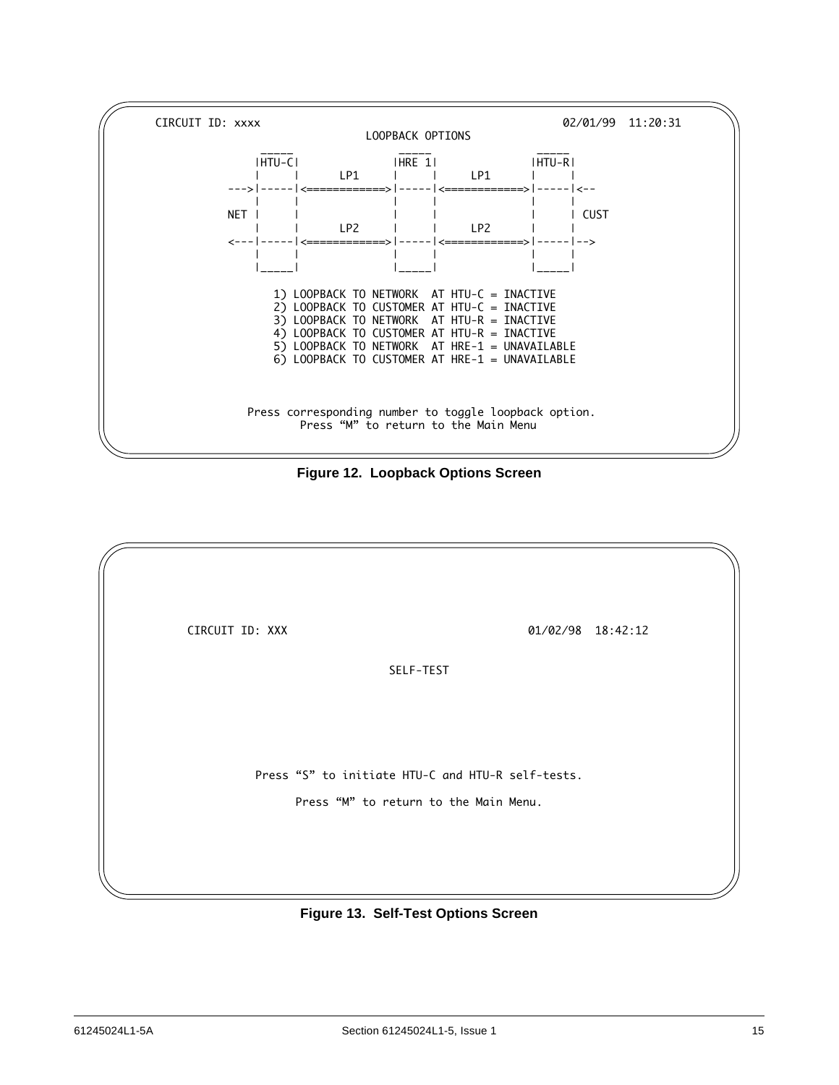

**Figure 12. Loopback Options Screen**

| CIRCUIT ID: XXX |                                                   | 01/02/98 18:42:12 |
|-----------------|---------------------------------------------------|-------------------|
|                 |                                                   |                   |
|                 | SELF-TEST                                         |                   |
|                 |                                                   |                   |
|                 |                                                   |                   |
|                 |                                                   |                   |
|                 |                                                   |                   |
|                 | Press "S" to initiate HTU-C and HTU-R self-tests. |                   |
|                 | Press "M" to return to the Main Menu.             |                   |
|                 |                                                   |                   |
|                 |                                                   |                   |
|                 |                                                   |                   |

**Figure 13. Self-Test Options Screen**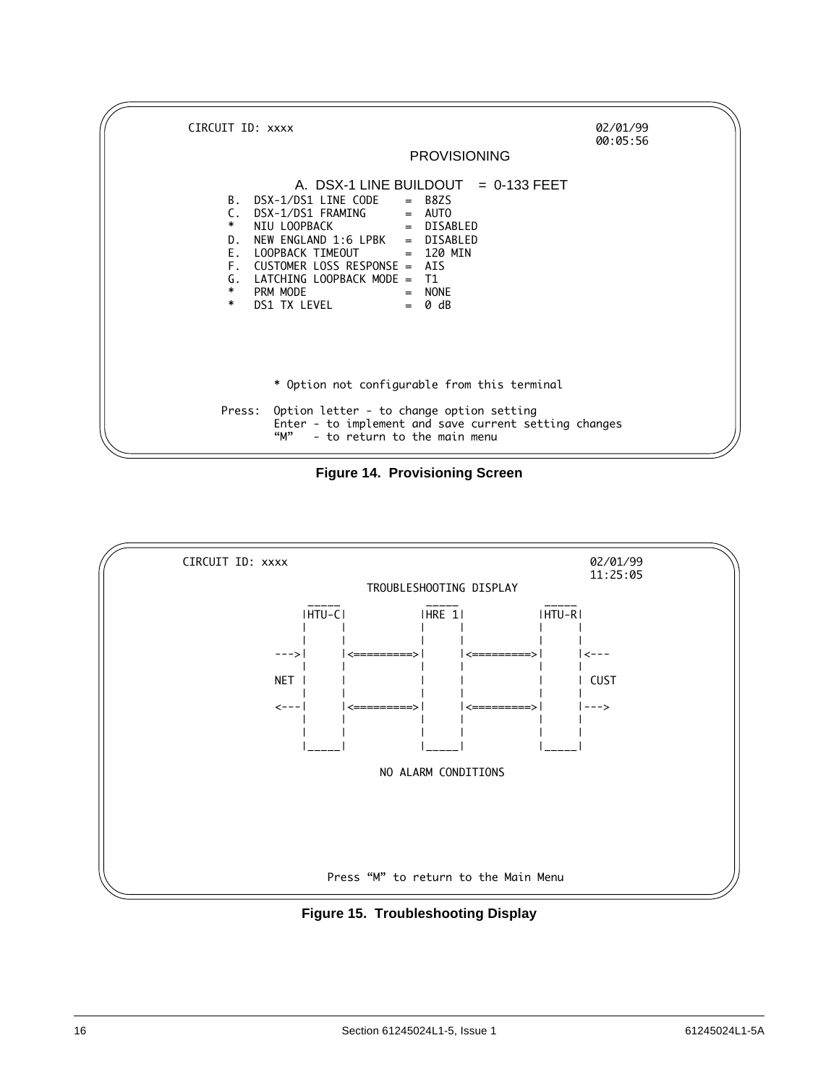

**Figure 14. Provisioning Screen**



**Figure 15. Troubleshooting Display**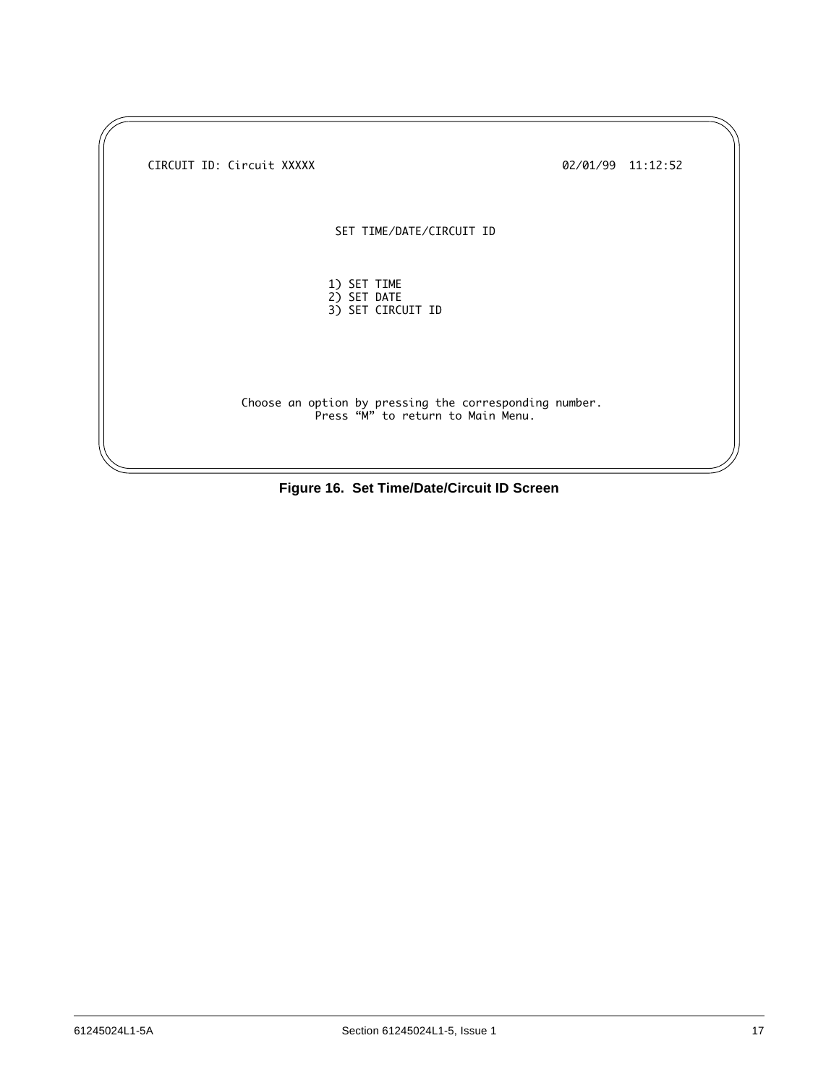| CIRCUIT ID: Circuit XXXXX                                                                   | 02/01/99 11:12:52 |  |
|---------------------------------------------------------------------------------------------|-------------------|--|
| SET TIME/DATE/CIRCUIT ID                                                                    |                   |  |
| 1) SET TIME<br>2) SET DATE<br>3) SET CIRCUIT ID                                             |                   |  |
| Choose an option by pressing the corresponding number.<br>Press "M" to return to Main Menu. |                   |  |

**Figure 16. Set Time/Date/Circuit ID Screen**

 $\sqrt{}$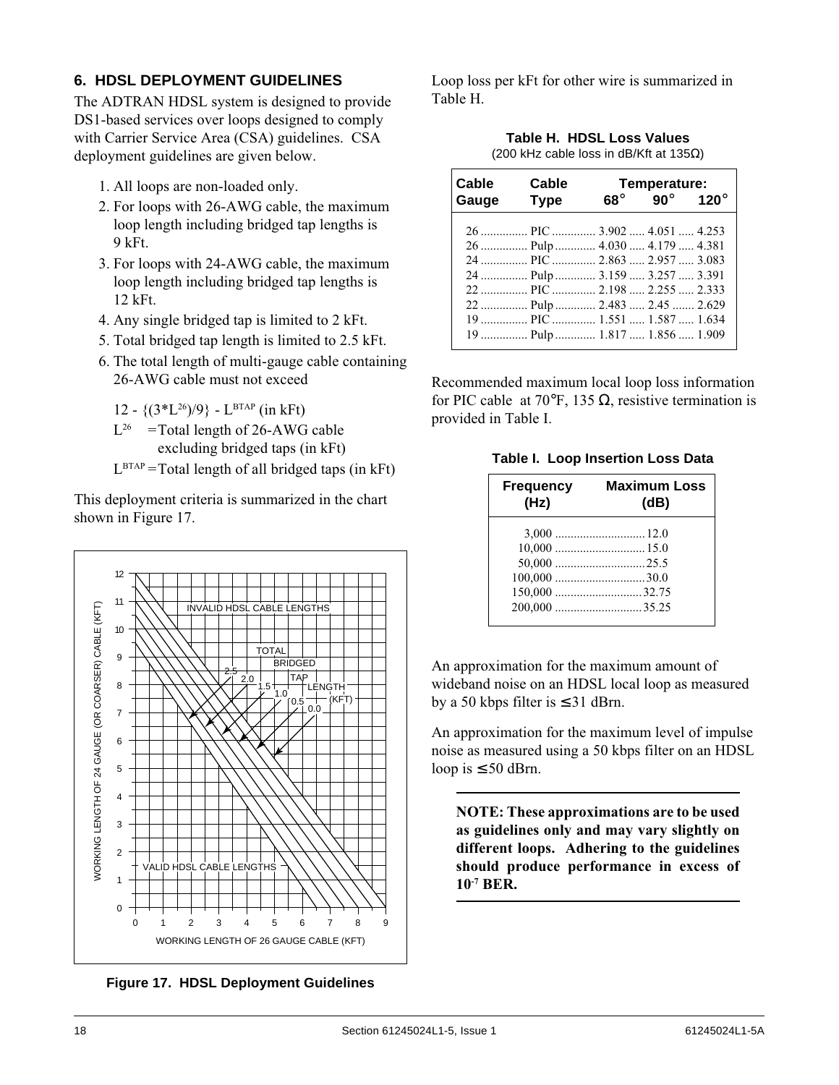# **6. HDSL DEPLOYMENT GUIDELINES**

The ADTRAN HDSL system is designed to provide DS1-based services over loops designed to comply with Carrier Service Area (CSA) guidelines. CSA deployment guidelines are given below.

- 1. All loops are non-loaded only.
- 2. For loops with 26-AWG cable, the maximum loop length including bridged tap lengths is 9␣ kFt.
- 3. For loops with 24-AWG cable, the maximum loop length including bridged tap lengths is 12␣ kFt.
- 4. Any single bridged tap is limited to 2 kFt.
- 5. Total bridged tap length is limited to 2.5 kFt.
- 6. The total length of multi-gauge cable containing 26-AWG cable must not exceed

12 -  $\{(3^*L^{26})/9\}$  - L<sup>BTAP</sup> (in kFt)

- $L^{26}$  =Total length of 26-AWG cable excluding bridged taps (in kFt)
- $L<sup>BTAP</sup>$  = Total length of all bridged taps (in kFt)

This deployment criteria is summarized in the chart shown in Figure 17.



**Figure 17. HDSL Deployment Guidelines**

Loop loss per kFt for other wire is summarized in Table H.

| Table H. HDSL Loss Values                       |
|-------------------------------------------------|
| (200 kHz cable loss in dB/Kft at 135 $\Omega$ ) |

| Cable | Cable                         |            | Temperature:  |             |
|-------|-------------------------------|------------|---------------|-------------|
| Gauge | <b>Type</b>                   | $68^\circ$ | 90 $^{\circ}$ | $120^\circ$ |
|       |                               |            |               |             |
|       | 26  Pulp  4.030  4.179  4.381 |            |               |             |
|       | 24  PIC  2.863  2.957  3.083  |            |               |             |
|       | 24  Pulp  3.159  3.257  3.391 |            |               |             |
|       | 22  PIC  2.198  2.255  2.333  |            |               |             |
|       | 22  Pulp  2.483  2.45  2.629  |            |               |             |
|       | 19  PIC  1.551  1.587  1.634  |            |               |             |
|       | 19  Pulp  1.817  1.856  1.909 |            |               |             |

Recommended maximum local loop loss information for PIC cable at 70°F, 135  $\Omega$ , resistive termination is provided in Table I.

| <b>Frequency</b><br>(Hz) | <b>Maximum Loss</b><br>(dB) |
|--------------------------|-----------------------------|
|                          |                             |
|                          |                             |
|                          |                             |
|                          |                             |
|                          | $150,000$ 32.75             |
|                          |                             |

An approximation for the maximum amount of wideband noise on an HDSL local loop as measured by a 50 kbps filter is  $\leq$  31 dBrn.

An approximation for the maximum level of impulse noise as measured using a 50 kbps filter on an HDSL loop is  $\leq 50$  dBrn.

**NOTE: These approximations are to be used as guidelines only and may vary slightly on different loops. Adhering to the guidelines should produce performance in excess of 10-7␣ BER.**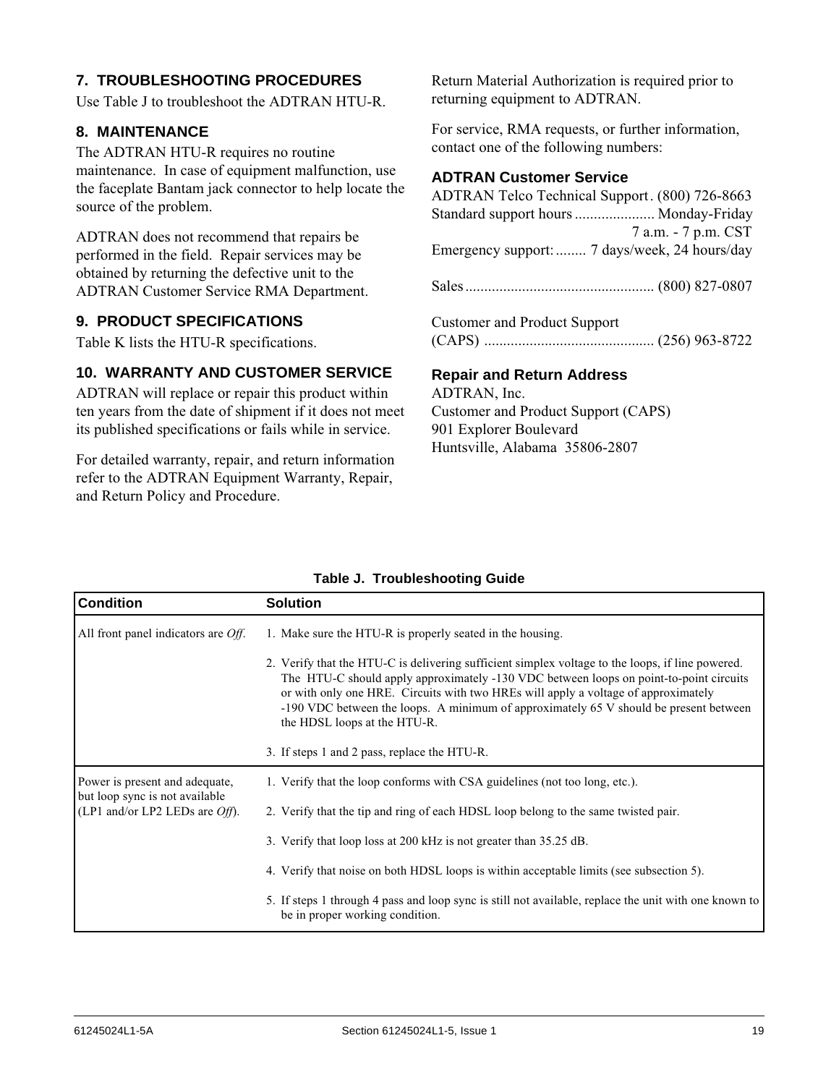# **7. TROUBLESHOOTING PROCEDURES**

Use Table J to troubleshoot the ADTRAN HTU-R.

#### **8. MAINTENANCE**

The ADTRAN HTU-R requires no routine maintenance. In case of equipment malfunction, use the faceplate Bantam jack connector to help locate the source of the problem.

ADTRAN does not recommend that repairs be performed in the field. Repair services may be obtained by returning the defective unit to the ADTRAN Customer Service RMA Department.

#### **9. PRODUCT SPECIFICATIONS**

Table K lists the HTU-R specifications.

#### **10. WARRANTY AND CUSTOMER SERVICE**

ADTRAN will replace or repair this product within ten years from the date of shipment if it does not meet its published specifications or fails while in service.

For detailed warranty, repair, and return information refer to the ADTRAN Equipment Warranty, Repair, and Return Policy and Procedure.

Return Material Authorization is required prior to returning equipment to ADTRAN.

For service, RMA requests, or further information, contact one of the following numbers:

#### **ADTRAN Customer Service**

| ADTRAN Telco Technical Support. (800) 726-8663 |                     |
|------------------------------------------------|---------------------|
| Standard support hours  Monday-Friday          |                     |
|                                                | 7 a.m. - 7 p.m. CST |
| Emergency support:  7 days/week, 24 hours/day  |                     |
|                                                |                     |
|                                                |                     |
|                                                |                     |
| <b>Customer and Product Support</b>            |                     |

(CAPS) ............................................. (256) 963-8722

#### **Repair and Return Address**

ADTRAN, Inc. Customer and Product Support (CAPS) 901 Explorer Boulevard Huntsville, Alabama 35806-2807

| <b>Condition</b>                                                    | <b>Solution</b>                                                                                                                                                                                                                                                                                                                                                                                           |  |
|---------------------------------------------------------------------|-----------------------------------------------------------------------------------------------------------------------------------------------------------------------------------------------------------------------------------------------------------------------------------------------------------------------------------------------------------------------------------------------------------|--|
| All front panel indicators are $Off$ .                              | 1. Make sure the HTU-R is properly seated in the housing.                                                                                                                                                                                                                                                                                                                                                 |  |
|                                                                     | 2. Verify that the HTU-C is delivering sufficient simplex voltage to the loops, if line powered.<br>The HTU-C should apply approximately -130 VDC between loops on point-to-point circuits<br>or with only one HRE. Circuits with two HREs will apply a voltage of approximately<br>-190 VDC between the loops. A minimum of approximately 65 V should be present between<br>the HDSL loops at the HTU-R. |  |
|                                                                     | 3. If steps 1 and 2 pass, replace the HTU-R.                                                                                                                                                                                                                                                                                                                                                              |  |
| Power is present and adequate,                                      | 1. Verify that the loop conforms with CSA guidelines (not too long, etc.).                                                                                                                                                                                                                                                                                                                                |  |
| but loop sync is not available<br>(LP1 and/or LP2 LEDs are $Off$ ). | 2. Verify that the tip and ring of each HDSL loop belong to the same twisted pair.                                                                                                                                                                                                                                                                                                                        |  |
|                                                                     | 3. Verify that loop loss at 200 kHz is not greater than 35.25 dB.                                                                                                                                                                                                                                                                                                                                         |  |
|                                                                     | 4. Verify that noise on both HDSL loops is within acceptable limits (see subsection 5).                                                                                                                                                                                                                                                                                                                   |  |
|                                                                     | 5. If steps 1 through 4 pass and loop sync is still not available, replace the unit with one known to<br>be in proper working condition.                                                                                                                                                                                                                                                                  |  |

#### **Table J. Troubleshooting Guide**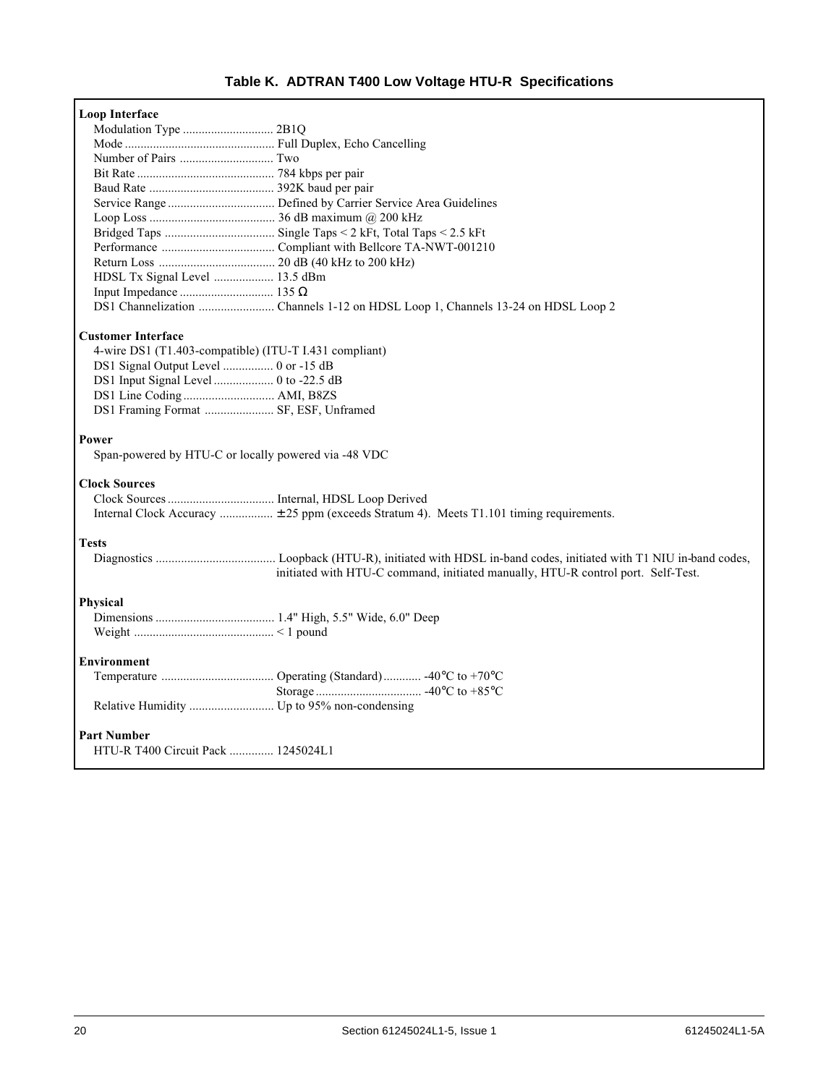# **Table K. ADTRAN T400 Low Voltage HTU-R Specifications**

| Loop Interface                                         |                                                                                          |  |  |  |  |
|--------------------------------------------------------|------------------------------------------------------------------------------------------|--|--|--|--|
|                                                        |                                                                                          |  |  |  |  |
|                                                        |                                                                                          |  |  |  |  |
|                                                        |                                                                                          |  |  |  |  |
|                                                        |                                                                                          |  |  |  |  |
|                                                        |                                                                                          |  |  |  |  |
|                                                        |                                                                                          |  |  |  |  |
|                                                        |                                                                                          |  |  |  |  |
|                                                        |                                                                                          |  |  |  |  |
|                                                        |                                                                                          |  |  |  |  |
|                                                        |                                                                                          |  |  |  |  |
| HDSL Tx Signal Level  13.5 dBm                         |                                                                                          |  |  |  |  |
|                                                        |                                                                                          |  |  |  |  |
|                                                        |                                                                                          |  |  |  |  |
| <b>Customer Interface</b>                              |                                                                                          |  |  |  |  |
| 4-wire DS1 (T1.403-compatible) (ITU-T I.431 compliant) |                                                                                          |  |  |  |  |
| DS1 Signal Output Level  0 or -15 dB                   |                                                                                          |  |  |  |  |
|                                                        |                                                                                          |  |  |  |  |
| DS1 Line Coding  AMI, B8ZS                             |                                                                                          |  |  |  |  |
| DS1 Framing Format  SF, ESF, Unframed                  |                                                                                          |  |  |  |  |
| Power                                                  |                                                                                          |  |  |  |  |
| Span-powered by HTU-C or locally powered via -48 VDC   |                                                                                          |  |  |  |  |
| <b>Clock Sources</b>                                   |                                                                                          |  |  |  |  |
|                                                        |                                                                                          |  |  |  |  |
|                                                        | Internal Clock Accuracy  ± 25 ppm (exceeds Stratum 4). Meets T1.101 timing requirements. |  |  |  |  |
| <b>Tests</b>                                           |                                                                                          |  |  |  |  |
|                                                        | initiated with HTU-C command, initiated manually, HTU-R control port. Self-Test.         |  |  |  |  |
| Physical                                               |                                                                                          |  |  |  |  |
|                                                        |                                                                                          |  |  |  |  |
|                                                        |                                                                                          |  |  |  |  |
| <b>Environment</b>                                     |                                                                                          |  |  |  |  |
|                                                        |                                                                                          |  |  |  |  |
|                                                        |                                                                                          |  |  |  |  |
|                                                        |                                                                                          |  |  |  |  |
|                                                        |                                                                                          |  |  |  |  |
| <b>Part Number</b>                                     |                                                                                          |  |  |  |  |
| HTU-R T400 Circuit Pack  1245024L1                     |                                                                                          |  |  |  |  |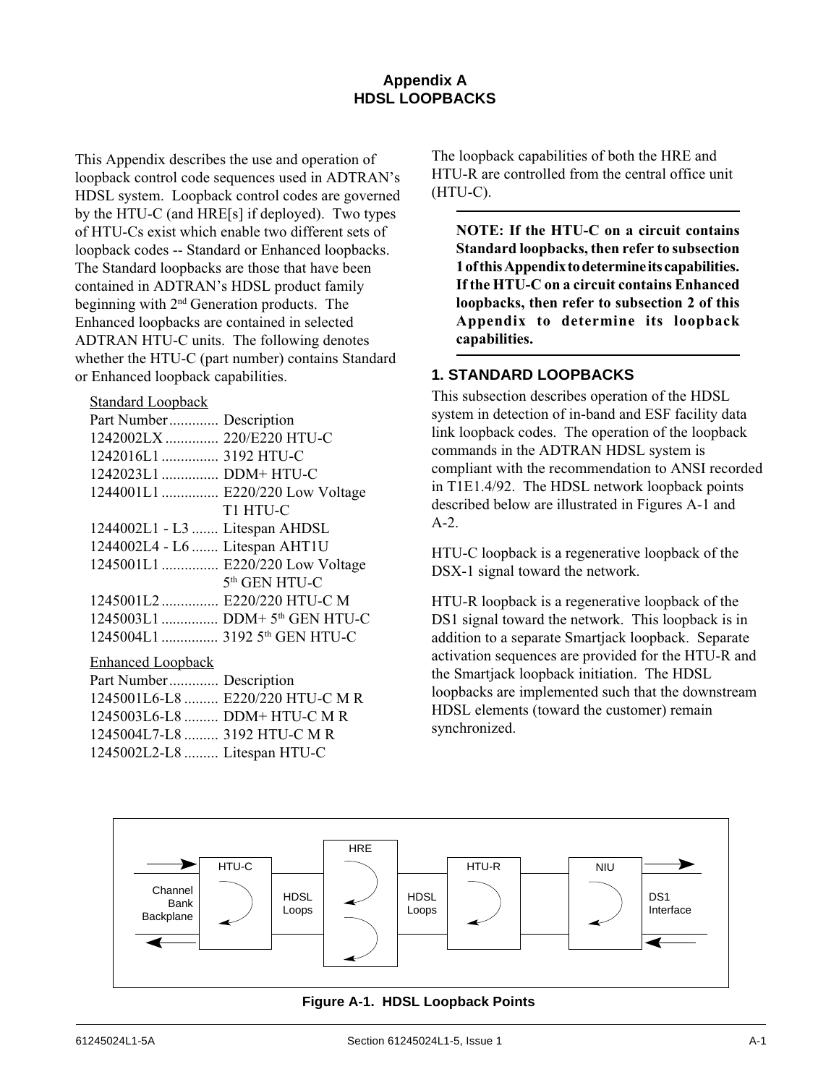# **Appendix A HDSL LOOPBACKS**

This Appendix describes the use and operation of loopback control code sequences used in ADTRAN's HDSL system. Loopback control codes are governed by the HTU-C (and HRE[s] if deployed). Two types of HTU-Cs exist which enable two different sets of loopback codes -- Standard or Enhanced loopbacks. The Standard loopbacks are those that have been contained in ADTRAN's HDSL product family beginning with 2nd Generation products. The Enhanced loopbacks are contained in selected ADTRAN HTU-C units. The following denotes whether the HTU-C (part number) contains Standard or Enhanced loopback capabilities.

#### Standard Loopback

#### Enhanced Loopback

| Part Number Description      |                                  |
|------------------------------|----------------------------------|
|                              | 1245001L6-L8  E220/220 HTU-C M R |
| 1245003L6-L8  DDM+ HTU-C M R |                                  |
| 1245004L7-L8  3192 HTU-C M R |                                  |
| 1245002L2-L8  Litespan HTU-C |                                  |

The loopback capabilities of both the HRE and HTU-R are controlled from the central office unit (HTU-C).

**NOTE: If the HTU-C on a circuit contains Standard loopbacks, then refer to subsection 1 of this Appendix to determine its capabilities. If the HTU-C on a circuit contains Enhanced loopbacks, then refer to subsection 2 of this Appendix to determine its loopback capabilities.**

#### **1. STANDARD LOOPBACKS**

This subsection describes operation of the HDSL system in detection of in-band and ESF facility data link loopback codes. The operation of the loopback commands in the ADTRAN HDSL system is compliant with the recommendation to ANSI recorded in T1E1.4/92. The HDSL network loopback points described below are illustrated in Figures A-1 and A-2.

HTU-C loopback is a regenerative loopback of the DSX-1 signal toward the network.

HTU-R loopback is a regenerative loopback of the DS1 signal toward the network. This loopback is in addition to a separate Smartjack loopback. Separate activation sequences are provided for the HTU-R and the Smartjack loopback initiation. The HDSL loopbacks are implemented such that the downstream HDSL elements (toward the customer) remain synchronized.



**Figure A-1. HDSL Loopback Points**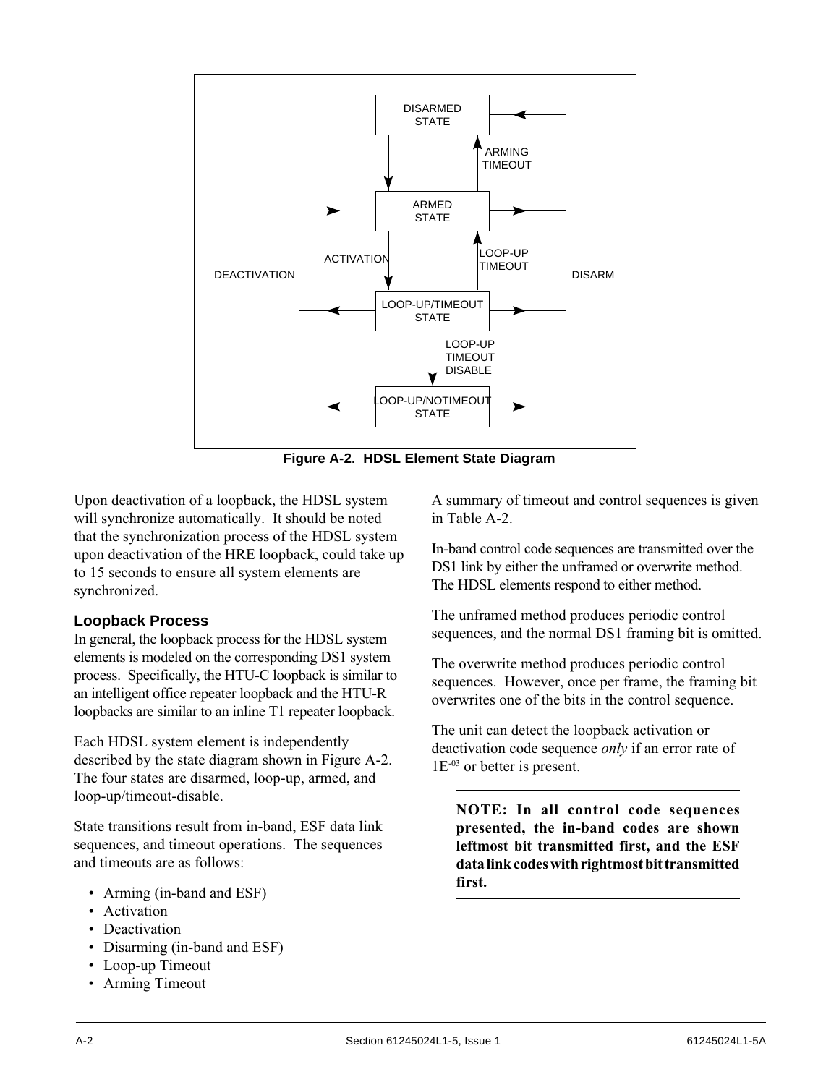

**Figure A-2. HDSL Element State Diagram**

Upon deactivation of a loopback, the HDSL system will synchronize automatically. It should be noted that the synchronization process of the HDSL system upon deactivation of the HRE loopback, could take up to 15 seconds to ensure all system elements are synchronized.

# **Loopback Process**

In general, the loopback process for the HDSL system elements is modeled on the corresponding DS1 system process. Specifically, the HTU-C loopback is similar to an intelligent office repeater loopback and the HTU-R loopbacks are similar to an inline T1 repeater loopback.

Each HDSL system element is independently described by the state diagram shown in Figure A-2. The four states are disarmed, loop-up, armed, and loop-up/timeout-disable.

State transitions result from in-band, ESF data link sequences, and timeout operations. The sequences and timeouts are as follows:

- Arming (in-band and ESF)
- Activation
- Deactivation
- Disarming (in-band and ESF)
- Loop-up Timeout
- Arming Timeout

A summary of timeout and control sequences is given in Table␣ A-2.

In-band control code sequences are transmitted over the DS1 link by either the unframed or overwrite method. The HDSL elements respond to either method.

The unframed method produces periodic control sequences, and the normal DS1 framing bit is omitted.

The overwrite method produces periodic control sequences. However, once per frame, the framing bit overwrites one of the bits in the control sequence.

The unit can detect the loopback activation or deactivation code sequence *only* if an error rate of 1E-03 or better is present.

**NOTE: In all control code sequences presented, the in-band codes are shown leftmost bit transmitted first, and the ESF data link codes with rightmost bit transmitted first.**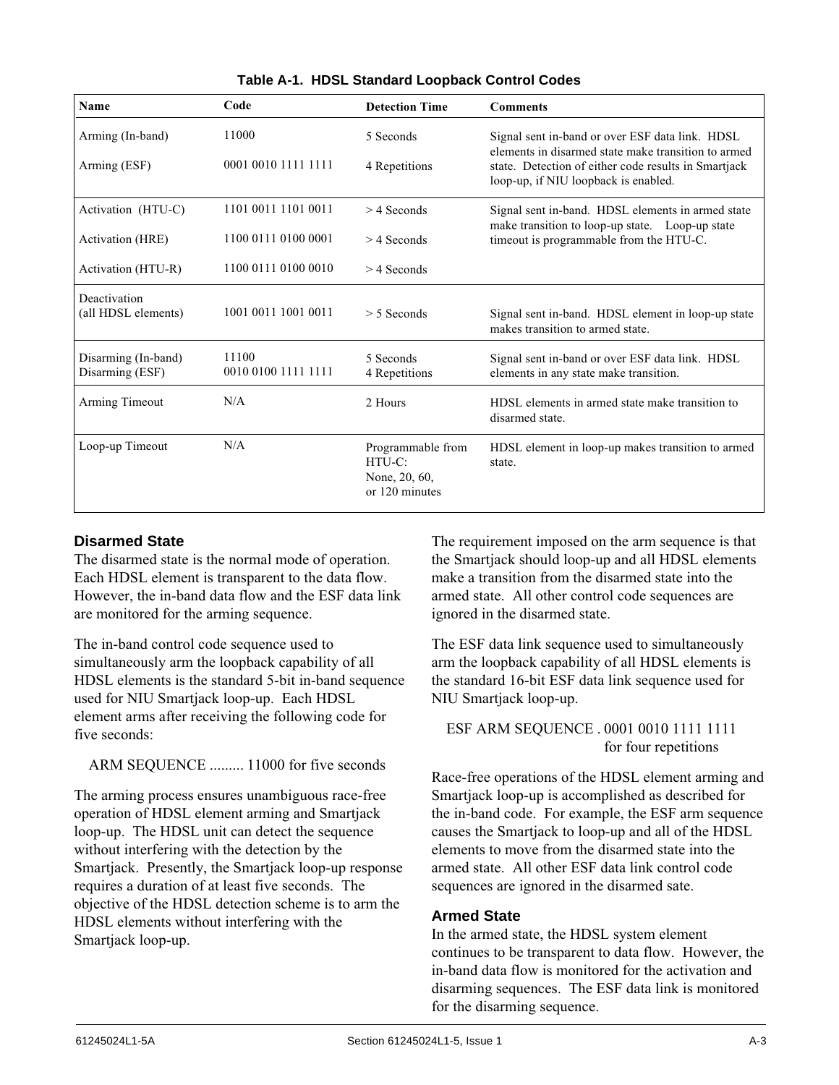| <b>Name</b>                            | Code                         | <b>Detection Time</b>                                            | <b>Comments</b>                                                                                        |
|----------------------------------------|------------------------------|------------------------------------------------------------------|--------------------------------------------------------------------------------------------------------|
| Arming (In-band)                       | 11000                        | 5 Seconds                                                        | Signal sent in-band or over ESF data link. HDSL<br>elements in disarmed state make transition to armed |
| Arming (ESF)                           | 0001 0010 1111 1111          | 4 Repetitions                                                    | state. Detection of either code results in Smartjack<br>loop-up, if NIU loopback is enabled.           |
| Activation (HTU-C)                     | 1101 0011 1101 0011          | $>$ 4 Seconds                                                    | Signal sent in-band. HDSL elements in armed state                                                      |
| <b>Activation</b> (HRE)                | 1100 0111 0100 0001          | $>$ 4 Seconds                                                    | make transition to loop-up state. Loop-up state<br>timeout is programmable from the HTU-C.             |
| Activation (HTU-R)                     | 1100 0111 0100 0010          | $>$ 4 Seconds                                                    |                                                                                                        |
| Deactivation<br>(all HDSL elements)    | 1001 0011 1001 0011          | $> 5$ Seconds                                                    | Signal sent in-band. HDSL element in loop-up state<br>makes transition to armed state.                 |
| Disarming (In-band)<br>Disarming (ESF) | 11100<br>0010 0100 1111 1111 | 5 Seconds<br>4 Repetitions                                       | Signal sent in-band or over ESF data link. HDSL<br>elements in any state make transition.              |
| Arming Timeout                         | N/A                          | 2 Hours                                                          | HDSL elements in armed state make transition to<br>disarmed state.                                     |
| Loop-up Timeout                        | N/A                          | Programmable from<br>$HTU-C:$<br>None, 20, 60,<br>or 120 minutes | HDSL element in loop-up makes transition to armed<br>state.                                            |

**Table A-1. HDSL Standard Loopback Control Codes**

# **Disarmed State**

The disarmed state is the normal mode of operation. Each HDSL element is transparent to the data flow. However, the in-band data flow and the ESF data link are monitored for the arming sequence.

The in-band control code sequence used to simultaneously arm the loopback capability of all HDSL elements is the standard 5-bit in-band sequence used for NIU Smartjack loop-up. Each HDSL element arms after receiving the following code for five seconds:

ARM SEQUENCE ......... 11000 for five seconds

The arming process ensures unambiguous race-free operation of HDSL element arming and Smartjack loop-up. The HDSL unit can detect the sequence without interfering with the detection by the Smartjack. Presently, the Smartjack loop-up response requires a duration of at least five seconds. The objective of the HDSL detection scheme is to arm the HDSL elements without interfering with the Smartjack loop-up.

The requirement imposed on the arm sequence is that the Smartjack should loop-up and all HDSL elements make a transition from the disarmed state into the armed state. All other control code sequences are ignored in the disarmed state.

The ESF data link sequence used to simultaneously arm the loopback capability of all HDSL elements is the standard 16-bit ESF data link sequence used for NIU Smartjack loop-up.

ESF ARM SEQUENCE . 0001 0010 1111 1111 for four repetitions

Race-free operations of the HDSL element arming and Smartjack loop-up is accomplished as described for the in-band code. For example, the ESF arm sequence causes the Smartjack to loop-up and all of the HDSL elements to move from the disarmed state into the armed state. All other ESF data link control code sequences are ignored in the disarmed sate.

# **Armed State**

In the armed state, the HDSL system element continues to be transparent to data flow. However, the in-band data flow is monitored for the activation and disarming sequences. The ESF data link is monitored for the disarming sequence.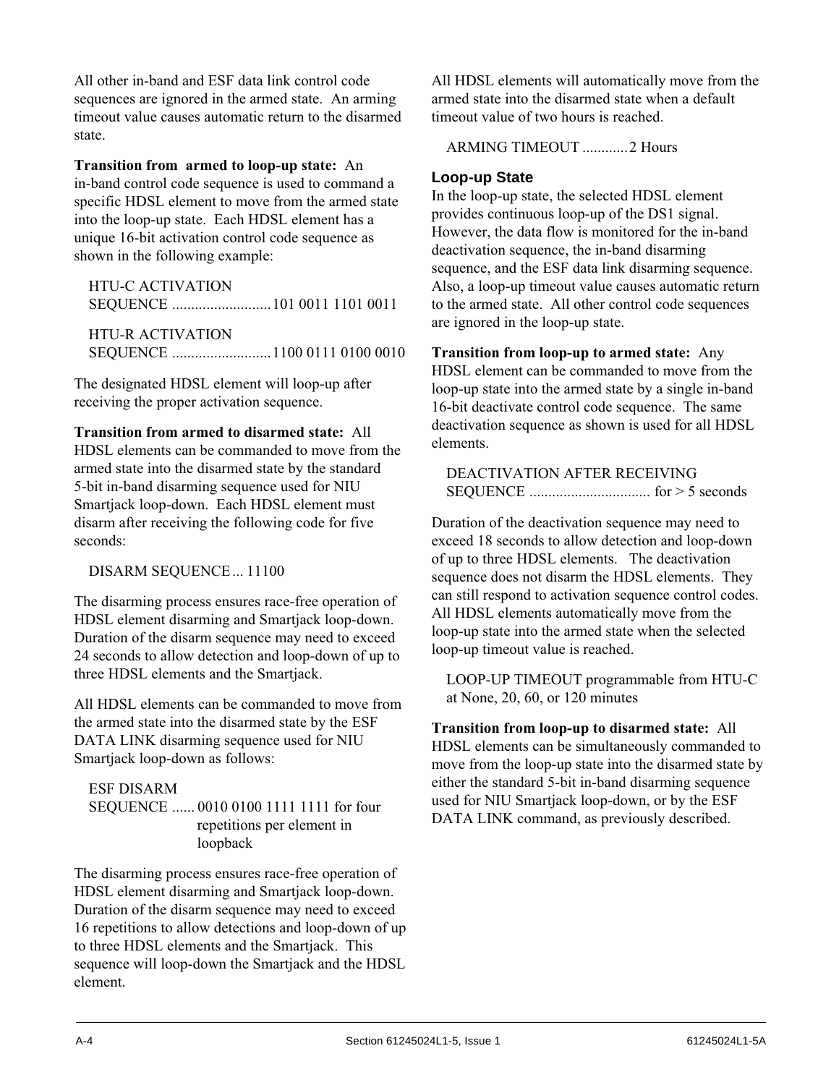All other in-band and ESF data link control code sequences are ignored in the armed state. An arming timeout value causes automatic return to the disarmed state.

**Transition from armed to loop-up state:** An in-band control code sequence is used to command a specific HDSL element to move from the armed state into the loop-up state. Each HDSL element has a unique 16-bit activation control code sequence as shown in the following example:

HTU-C ACTIVATION SEQUENCE ..........................101 0011 1101 0011

HTU-R ACTIVATION SEQUENCE ..........................1100 0111 0100 0010

The designated HDSL element will loop-up after receiving the proper activation sequence.

**Transition from armed to disarmed state:** All HDSL elements can be commanded to move from the armed state into the disarmed state by the standard 5-bit in-band disarming sequence used for NIU Smartjack loop-down. Each HDSL element must disarm after receiving the following code for five seconds:

DISARM SEQUENCE... 11100

The disarming process ensures race-free operation of HDSL element disarming and Smartjack loop-down. Duration of the disarm sequence may need to exceed 24 seconds to allow detection and loop-down of up to three HDSL elements and the Smartjack.

All HDSL elements can be commanded to move from the armed state into the disarmed state by the ESF DATA LINK disarming sequence used for NIU Smartjack loop-down as follows:

# ESF DISARM

SEQUENCE ...... 0010 0100 1111 1111 for four repetitions per element in loopback

The disarming process ensures race-free operation of HDSL element disarming and Smartjack loop-down. Duration of the disarm sequence may need to exceed 16 repetitions to allow detections and loop-down of up to three HDSL elements and the Smartjack. This sequence will loop-down the Smartjack and the HDSL element.

All HDSL elements will automatically move from the armed state into the disarmed state when a default timeout value of two hours is reached.

ARMING TIMEOUT ............2 Hours

# **Loop-up State**

In the loop-up state, the selected HDSL element provides continuous loop-up of the DS1 signal. However, the data flow is monitored for the in-band deactivation sequence, the in-band disarming sequence, and the ESF data link disarming sequence. Also, a loop-up timeout value causes automatic return to the armed state. All other control code sequences are ignored in the loop-up state.

**Transition from loop-up to armed state:** Any HDSL element can be commanded to move from the loop-up state into the armed state by a single in-band 16-bit deactivate control code sequence. The same deactivation sequence as shown is used for all HDSL elements.

DEACTIVATION AFTER RECEIVING SEQUENCE ................................ for > 5 seconds

Duration of the deactivation sequence may need to exceed 18 seconds to allow detection and loop-down of up to three HDSL elements. The deactivation sequence does not disarm the HDSL elements. They can still respond to activation sequence control codes. All HDSL elements automatically move from the loop-up state into the armed state when the selected loop-up timeout value is reached.

LOOP-UP TIMEOUT programmable from HTU-C at None, 20, 60, or 120 minutes

**Transition from loop-up to disarmed state:** All HDSL elements can be simultaneously commanded to move from the loop-up state into the disarmed state by either the standard 5-bit in-band disarming sequence used for NIU Smartjack loop-down, or by the ESF DATA LINK command, as previously described.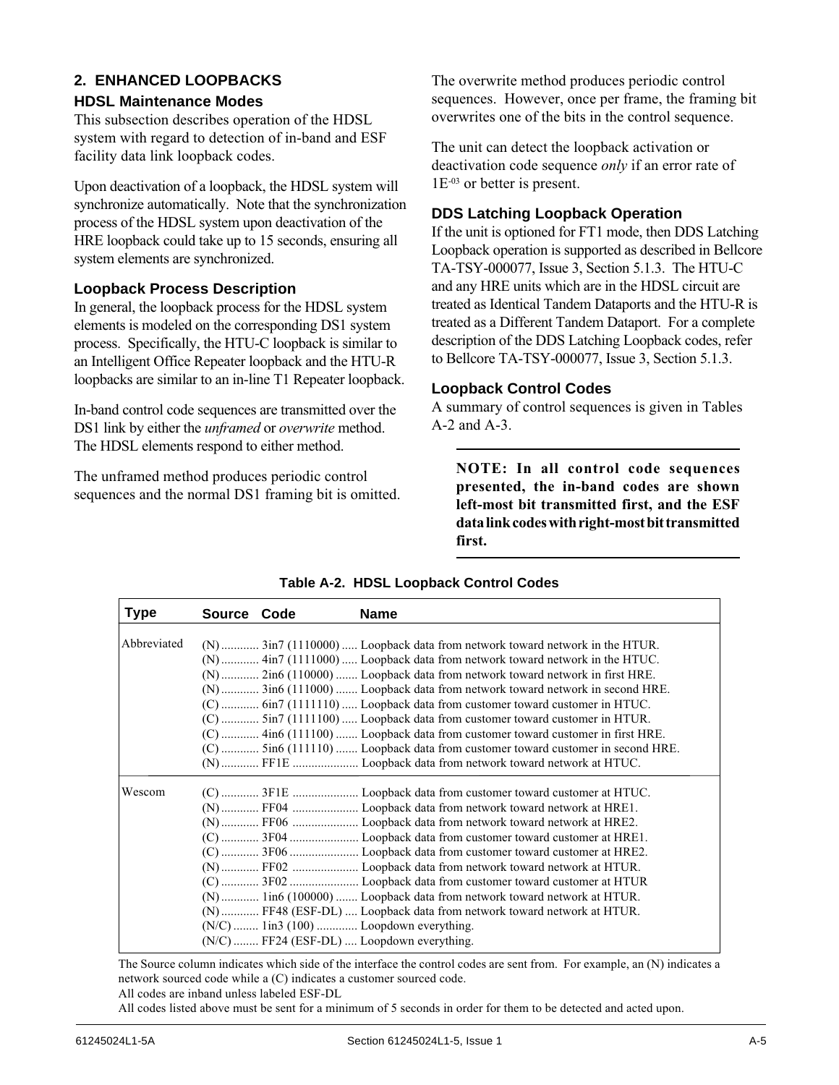# **2. ENHANCED LOOPBACKS**

# **HDSL Maintenance Modes**

This subsection describes operation of the HDSL system with regard to detection of in-band and ESF facility data link loopback codes.

Upon deactivation of a loopback, the HDSL system will synchronize automatically. Note that the synchronization process of the HDSL system upon deactivation of the HRE loopback could take up to 15 seconds, ensuring all system elements are synchronized.

# **Loopback Process Description**

In general, the loopback process for the HDSL system elements is modeled on the corresponding DS1 system process. Specifically, the HTU-C loopback is similar to an Intelligent Office Repeater loopback and the HTU-R loopbacks are similar to an in-line T1 Repeater loopback.

In-band control code sequences are transmitted over the DS1 link by either the *unframed* or *overwrite* method. The HDSL elements respond to either method.

The unframed method produces periodic control sequences and the normal DS1 framing bit is omitted. The overwrite method produces periodic control sequences. However, once per frame, the framing bit overwrites one of the bits in the control sequence.

The unit can detect the loopback activation or deactivation code sequence *only* if an error rate of 1E-03 or better is present.

# **DDS Latching Loopback Operation**

If the unit is optioned for FT1 mode, then DDS Latching Loopback operation is supported as described in Bellcore TA-TSY-000077, Issue 3, Section 5.1.3. The HTU-C and any HRE units which are in the HDSL circuit are treated as Identical Tandem Dataports and the HTU-R is treated as a Different Tandem Dataport. For a complete description of the DDS Latching Loopback codes, refer to Bellcore TA-TSY-000077, Issue 3, Section 5.1.3.

#### **Loopback Control Codes**

A summary of control sequences is given in Tables A-2 and A-3.

**NOTE: In all control code sequences presented, the in-band codes are shown left-most bit transmitted first, and the ESF data link codes with right-most bit transmitted first.**

| <b>Type</b> | Source Code | <b>Name</b>                                                                                                                                                                                                                                                                                                                                                                                                                                                                                                                                                                                                                                            |
|-------------|-------------|--------------------------------------------------------------------------------------------------------------------------------------------------------------------------------------------------------------------------------------------------------------------------------------------------------------------------------------------------------------------------------------------------------------------------------------------------------------------------------------------------------------------------------------------------------------------------------------------------------------------------------------------------------|
| Abbreviated |             | (N)  3in7 (1110000)  Loopback data from network toward network in the HTUR.<br>$(N)$ 4in7 (1111000) Loopback data from network toward network in the HTUC.<br>(N)  2in6 (110000)  Loopback data from network toward network in first HRE.<br>(N)  3in6 (111000)  Loopback data from network toward network in second HRE.<br>(C)  6in7 (1111110)  Loopback data from customer toward customer in HTUC.<br>(C)  5in7 (1111100)  Loopback data from customer toward customer in HTUR.<br>(C)  4in6 (111100)  Loopback data from customer toward customer in first HRE.<br>(C)  5in6 (111110)  Loopback data from customer toward customer in second HRE. |
|             |             |                                                                                                                                                                                                                                                                                                                                                                                                                                                                                                                                                                                                                                                        |
| Wescom      |             | (N)  lin6 (100000)  Loopback data from network toward network at HTUR.<br>(N) FF48 (ESF-DL)  Loopback data from network toward network at HTUR.<br>$(N/C)$ 1in3 (100)  Loopdown everything.<br>(N/C) FF24 (ESF-DL) Loopdown everything.                                                                                                                                                                                                                                                                                                                                                                                                                |

#### **Table A-2. HDSL Loopback Control Codes**

The Source column indicates which side of the interface the control codes are sent from. For example, an (N) indicates a network sourced code while a (C) indicates a customer sourced code.

All codes listed above must be sent for a minimum of 5 seconds in order for them to be detected and acted upon.

All codes are inband unless labeled ESF-DL